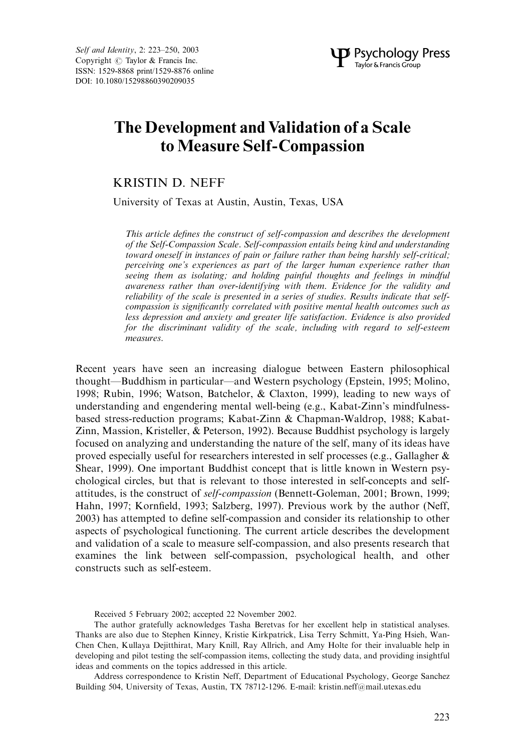# The Development and Validation of a Scale to Measure Self-Compassion

## KRISTIN D. NEFF

University of Texas at Austin, Austin, Texas, USA

This article defines the construct of self-compassion and describes the development of the Self-Compassion Scale. Self-compassion entails being kind and understanding toward oneself in instances of pain or failure rather than being harshly self-critical; perceiving one's experiences as part of the larger human experience rather than seeing them as isolating; and holding painful thoughts and feelings in mindful awareness rather than over-identifying with them. Evidence for the validity and reliability of the scale is presented in a series of studies. Results indicate that selfcompassion is significantly correlated with positive mental health outcomes such as less depression and anxiety and greater life satisfaction. Evidence is also provided for the discriminant validity of the scale, including with regard to self-esteem measures.

Recent years have seen an increasing dialogue between Eastern philosophical thought—Buddhism in particular—and Western psychology (Epstein, 1995; Molino, 1998; Rubin, 1996; Watson, Batchelor, & Claxton, 1999), leading to new ways of understanding and engendering mental well-being (e.g., Kabat-Zinn's mindfulnessbased stress-reduction programs; Kabat-Zinn & Chapman-Waldrop, 1988; Kabat-Zinn, Massion, Kristeller, & Peterson, 1992). Because Buddhist psychology is largely focused on analyzing and understanding the nature of the self, many of its ideas have proved especially useful for researchers interested in self processes (e.g., Gallagher & Shear, 1999). One important Buddhist concept that is little known in Western psychological circles, but that is relevant to those interested in self-concepts and selfattitudes, is the construct of self-compassion (Bennett-Goleman, 2001; Brown, 1999; Hahn, 1997; Kornfield, 1993; Salzberg, 1997). Previous work by the author (Neff, 2003) has attempted to define self-compassion and consider its relationship to other aspects of psychological functioning. The current article describes the development and validation of a scale to measure self-compassion, and also presents research that examines the link between self-compassion, psychological health, and other constructs such as self-esteem.

Received 5 February 2002; accepted 22 November 2002.

The author gratefully acknowledges Tasha Beretvas for her excellent help in statistical analyses. Thanks are also due to Stephen Kinney, Kristie Kirkpatrick, Lisa Terry Schmitt, Ya-Ping Hsieh, Wan-Chen Chen, Kullaya Dejitthirat, Mary Knill, Ray Allrich, and Amy Holte for their invaluable help in developing and pilot testing the self-compassion items, collecting the study data, and providing insightful ideas and comments on the topics addressed in this article.

Address correspondence to Kristin Neff, Department of Educational Psychology, George Sanchez Building 504, University of Texas, Austin, TX 78712-1296. E-mail: kristin.neff@mail.utexas.edu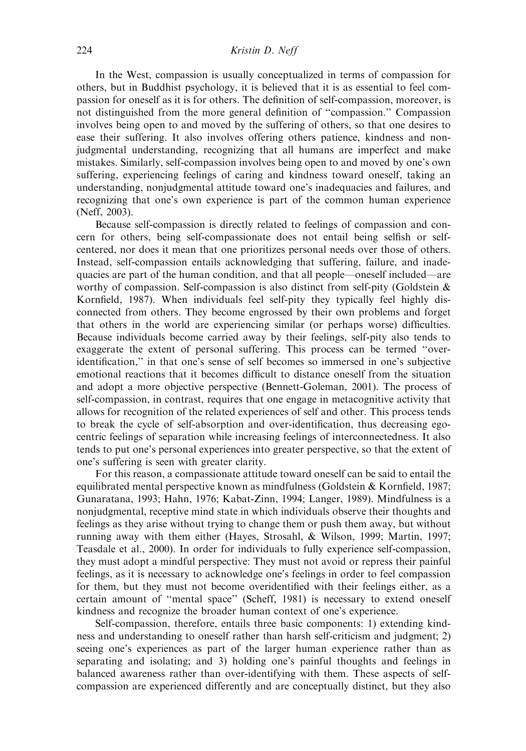In the West, compassion is usually conceptualized in terms of compassion for others, but in Buddhist psychology, it is believed that it is as essential to feel compassion for oneself as it is for others. The definition of self-compassion, moreover, is not distinguished from the more general definition of ''compassion.'' Compassion involves being open to and moved by the suffering of others, so that one desires to ease their suffering. It also involves offering others patience, kindness and nonjudgmental understanding, recognizing that all humans are imperfect and make mistakes. Similarly, self-compassion involves being open to and moved by one's own suffering, experiencing feelings of caring and kindness toward oneself, taking an understanding, nonjudgmental attitude toward one's inadequacies and failures, and recognizing that one's own experience is part of the common human experience (Neff, 2003).

Because self-compassion is directly related to feelings of compassion and concern for others, being self-compassionate does not entail being selfish or selfcentered, nor does it mean that one prioritizes personal needs over those of others. Instead, self-compassion entails acknowledging that suffering, failure, and inadequacies are part of the human condition, and that all people—oneself included—are worthy of compassion. Self-compassion is also distinct from self-pity (Goldstein  $\&$ Kornfield, 1987). When individuals feel self-pity they typically feel highly disconnected from others. They become engrossed by their own problems and forget that others in the world are experiencing similar (or perhaps worse) difficulties. Because individuals become carried away by their feelings, self-pity also tends to exaggerate the extent of personal suffering. This process can be termed ''overidentification,'' in that one's sense of self becomes so immersed in one's subjective emotional reactions that it becomes difficult to distance oneself from the situation and adopt a more objective perspective (Bennett-Goleman, 2001). The process of self-compassion, in contrast, requires that one engage in metacognitive activity that allows for recognition of the related experiences of self and other. This process tends to break the cycle of self-absorption and over-identification, thus decreasing egocentric feelings of separation while increasing feelings of interconnectedness. It also tends to put one's personal experiences into greater perspective, so that the extent of one's suffering is seen with greater clarity.

For this reason, a compassionate attitude toward oneself can be said to entail the equilibrated mental perspective known as mindfulness (Goldstein & Kornfield, 1987; Gunaratana, 1993; Hahn, 1976; Kabat-Zinn, 1994; Langer, 1989). Mindfulness is a nonjudgmental, receptive mind state in which individuals observe their thoughts and feelings as they arise without trying to change them or push them away, but without running away with them either (Hayes, Strosahl, & Wilson, 1999; Martin, 1997; Teasdale et al., 2000). In order for individuals to fully experience self-compassion, they must adopt a mindful perspective: They must not avoid or repress their painful feelings, as it is necessary to acknowledge one's feelings in order to feel compassion for them, but they must not become overidentified with their feelings either, as a certain amount of ''mental space'' (Scheff, 1981) is necessary to extend oneself kindness and recognize the broader human context of one's experience.

Self-compassion, therefore, entails three basic components: 1) extending kindness and understanding to oneself rather than harsh self-criticism and judgment; 2) seeing one's experiences as part of the larger human experience rather than as separating and isolating; and 3) holding one's painful thoughts and feelings in balanced awareness rather than over-identifying with them. These aspects of selfcompassion are experienced differently and are conceptually distinct, but they also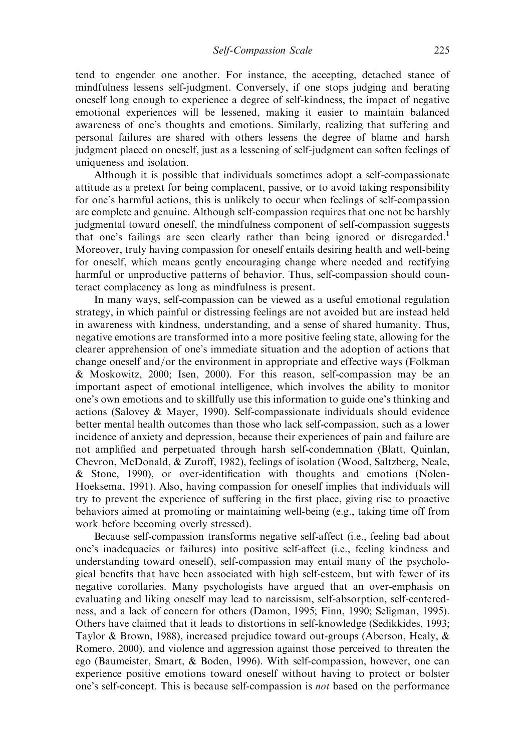tend to engender one another. For instance, the accepting, detached stance of mindfulness lessens self-judgment. Conversely, if one stops judging and berating oneself long enough to experience a degree of self-kindness, the impact of negative emotional experiences will be lessened, making it easier to maintain balanced awareness of one's thoughts and emotions. Similarly, realizing that suffering and personal failures are shared with others lessens the degree of blame and harsh judgment placed on oneself, just as a lessening of self-judgment can soften feelings of uniqueness and isolation.

Although it is possible that individuals sometimes adopt a self-compassionate attitude as a pretext for being complacent, passive, or to avoid taking responsibility for one's harmful actions, this is unlikely to occur when feelings of self-compassion are complete and genuine. Although self-compassion requires that one not be harshly judgmental toward oneself, the mindfulness component of self-compassion suggests that one's failings are seen clearly rather than being ignored or disregarded.<sup>1</sup> Moreover, truly having compassion for oneself entails desiring health and well-being for oneself, which means gently encouraging change where needed and rectifying harmful or unproductive patterns of behavior. Thus, self-compassion should counteract complacency as long as mindfulness is present.

In many ways, self-compassion can be viewed as a useful emotional regulation strategy, in which painful or distressing feelings are not avoided but are instead held in awareness with kindness, understanding, and a sense of shared humanity. Thus, negative emotions are transformed into a more positive feeling state, allowing for the clearer apprehension of one's immediate situation and the adoption of actions that change oneself and/or the environment in appropriate and effective ways (Folkman & Moskowitz, 2000; Isen, 2000). For this reason, self-compassion may be an important aspect of emotional intelligence, which involves the ability to monitor one's own emotions and to skillfully use this information to guide one's thinking and actions (Salovey & Mayer, 1990). Self-compassionate individuals should evidence better mental health outcomes than those who lack self-compassion, such as a lower incidence of anxiety and depression, because their experiences of pain and failure are not amplified and perpetuated through harsh self-condemnation (Blatt, Quinlan, Chevron, McDonald, & Zuroff, 1982), feelings of isolation (Wood, Saltzberg, Neale, & Stone, 1990), or over-identification with thoughts and emotions (Nolen-Hoeksema, 1991). Also, having compassion for oneself implies that individuals will try to prevent the experience of suffering in the first place, giving rise to proactive behaviors aimed at promoting or maintaining well-being (e.g., taking time off from work before becoming overly stressed).

Because self-compassion transforms negative self-affect (i.e., feeling bad about one's inadequacies or failures) into positive self-affect (i.e., feeling kindness and understanding toward oneself), self-compassion may entail many of the psychological benefits that have been associated with high self-esteem, but with fewer of its negative corollaries. Many psychologists have argued that an over-emphasis on evaluating and liking oneself may lead to narcissism, self-absorption, self-centeredness, and a lack of concern for others (Damon, 1995; Finn, 1990; Seligman, 1995). Others have claimed that it leads to distortions in self-knowledge (Sedikkides, 1993; Taylor & Brown, 1988), increased prejudice toward out-groups (Aberson, Healy, & Romero, 2000), and violence and aggression against those perceived to threaten the ego (Baumeister, Smart, & Boden, 1996). With self-compassion, however, one can experience positive emotions toward oneself without having to protect or bolster one's self-concept. This is because self-compassion is not based on the performance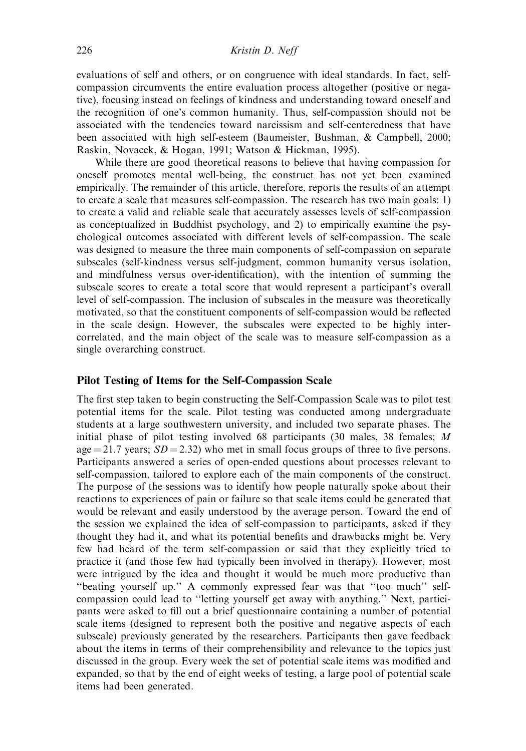evaluations of self and others, or on congruence with ideal standards. In fact, selfcompassion circumvents the entire evaluation process altogether (positive or negative), focusing instead on feelings of kindness and understanding toward oneself and the recognition of one's common humanity. Thus, self-compassion should not be associated with the tendencies toward narcissism and self-centeredness that have been associated with high self-esteem (Baumeister, Bushman, & Campbell, 2000; Raskin, Novacek, & Hogan, 1991; Watson & Hickman, 1995).

While there are good theoretical reasons to believe that having compassion for oneself promotes mental well-being, the construct has not yet been examined empirically. The remainder of this article, therefore, reports the results of an attempt to create a scale that measures self-compassion. The research has two main goals: 1) to create a valid and reliable scale that accurately assesses levels of self-compassion as conceptualized in Buddhist psychology, and 2) to empirically examine the psychological outcomes associated with different levels of self-compassion. The scale was designed to measure the three main components of self-compassion on separate subscales (self-kindness versus self-judgment, common humanity versus isolation, and mindfulness versus over-identification), with the intention of summing the subscale scores to create a total score that would represent a participant's overall level of self-compassion. The inclusion of subscales in the measure was theoretically motivated, so that the constituent components of self-compassion would be reflected in the scale design. However, the subscales were expected to be highly intercorrelated, and the main object of the scale was to measure self-compassion as a single overarching construct.

## Pilot Testing of Items for the Self-Compassion Scale

The first step taken to begin constructing the Self-Compassion Scale was to pilot test potential items for the scale. Pilot testing was conducted among undergraduate students at a large southwestern university, and included two separate phases. The initial phase of pilot testing involved 68 participants (30 males, 38 females; M age  $=$  21.7 years;  $SD = 2.32$ ) who met in small focus groups of three to five persons. Participants answered a series of open-ended questions about processes relevant to self-compassion, tailored to explore each of the main components of the construct. The purpose of the sessions was to identify how people naturally spoke about their reactions to experiences of pain or failure so that scale items could be generated that would be relevant and easily understood by the average person. Toward the end of the session we explained the idea of self-compassion to participants, asked if they thought they had it, and what its potential benefits and drawbacks might be. Very few had heard of the term self-compassion or said that they explicitly tried to practice it (and those few had typically been involved in therapy). However, most were intrigued by the idea and thought it would be much more productive than ''beating yourself up.'' A commonly expressed fear was that ''too much'' selfcompassion could lead to ''letting yourself get away with anything.'' Next, participants were asked to fill out a brief questionnaire containing a number of potential scale items (designed to represent both the positive and negative aspects of each subscale) previously generated by the researchers. Participants then gave feedback about the items in terms of their comprehensibility and relevance to the topics just discussed in the group. Every week the set of potential scale items was modified and expanded, so that by the end of eight weeks of testing, a large pool of potential scale items had been generated.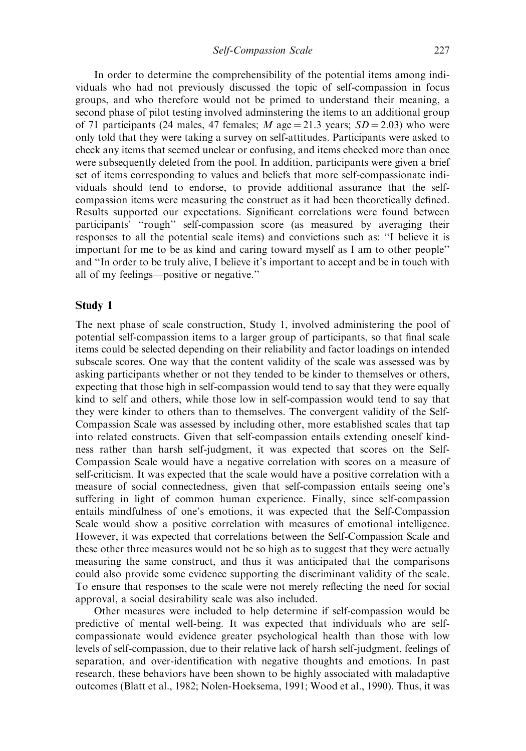Self-Compassion Scale 227

In order to determine the comprehensibility of the potential items among individuals who had not previously discussed the topic of self-compassion in focus groups, and who therefore would not be primed to understand their meaning, a second phase of pilot testing involved adminstering the items to an additional group of 71 participants (24 males, 47 females; M age = 21.3 years;  $SD = 2.03$ ) who were only told that they were taking a survey on self-attitudes. Participants were asked to check any items that seemed unclear or confusing, and items checked more than once were subsequently deleted from the pool. In addition, participants were given a brief set of items corresponding to values and beliefs that more self-compassionate individuals should tend to endorse, to provide additional assurance that the selfcompassion items were measuring the construct as it had been theoretically defined. Results supported our expectations. Significant correlations were found between participants' "rough" self-compassion score (as measured by averaging their responses to all the potential scale items) and convictions such as: ''I believe it is important for me to be as kind and caring toward myself as I am to other people'' and ''In order to be truly alive, I believe it's important to accept and be in touch with all of my feelings—positive or negative.''

## Study 1

The next phase of scale construction, Study 1, involved administering the pool of potential self-compassion items to a larger group of participants, so that final scale items could be selected depending on their reliability and factor loadings on intended subscale scores. One way that the content validity of the scale was assessed was by asking participants whether or not they tended to be kinder to themselves or others, expecting that those high in self-compassion would tend to say that they were equally kind to self and others, while those low in self-compassion would tend to say that they were kinder to others than to themselves. The convergent validity of the Self-Compassion Scale was assessed by including other, more established scales that tap into related constructs. Given that self-compassion entails extending oneself kindness rather than harsh self-judgment, it was expected that scores on the Self-Compassion Scale would have a negative correlation with scores on a measure of self-criticism. It was expected that the scale would have a positive correlation with a measure of social connectedness, given that self-compassion entails seeing one's suffering in light of common human experience. Finally, since self-compassion entails mindfulness of one's emotions, it was expected that the Self-Compassion Scale would show a positive correlation with measures of emotional intelligence. However, it was expected that correlations between the Self-Compassion Scale and these other three measures would not be so high as to suggest that they were actually measuring the same construct, and thus it was anticipated that the comparisons could also provide some evidence supporting the discriminant validity of the scale. To ensure that responses to the scale were not merely reflecting the need for social approval, a social desirability scale was also included.

Other measures were included to help determine if self-compassion would be predictive of mental well-being. It was expected that individuals who are selfcompassionate would evidence greater psychological health than those with low levels of self-compassion, due to their relative lack of harsh self-judgment, feelings of separation, and over-identification with negative thoughts and emotions. In past research, these behaviors have been shown to be highly associated with maladaptive outcomes (Blatt et al., 1982; Nolen-Hoeksema, 1991; Wood et al., 1990). Thus, it was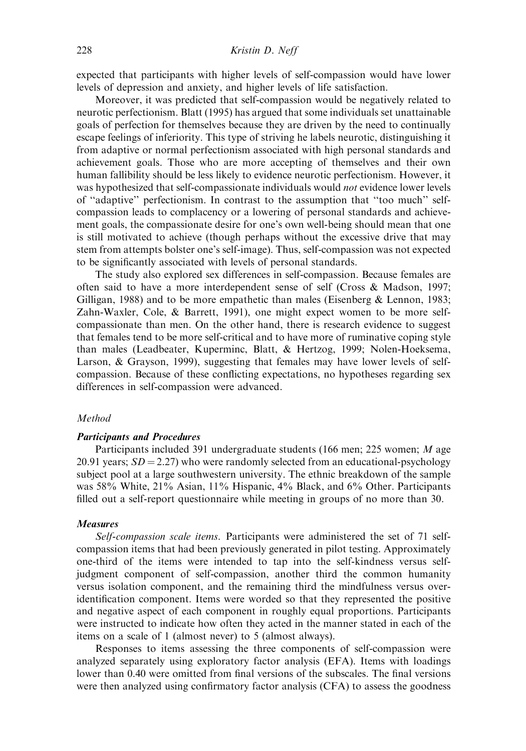expected that participants with higher levels of self-compassion would have lower levels of depression and anxiety, and higher levels of life satisfaction.

Moreover, it was predicted that self-compassion would be negatively related to neurotic perfectionism. Blatt (1995) has argued that some individuals set unattainable goals of perfection for themselves because they are driven by the need to continually escape feelings of inferiority. This type of striving he labels neurotic, distinguishing it from adaptive or normal perfectionism associated with high personal standards and achievement goals. Those who are more accepting of themselves and their own human fallibility should be less likely to evidence neurotic perfectionism. However, it was hypothesized that self-compassionate individuals would *not* evidence lower levels of ''adaptive'' perfectionism. In contrast to the assumption that ''too much'' selfcompassion leads to complacency or a lowering of personal standards and achievement goals, the compassionate desire for one's own well-being should mean that one is still motivated to achieve (though perhaps without the excessive drive that may stem from attempts bolster one's self-image). Thus, self-compassion was not expected to be significantly associated with levels of personal standards.

The study also explored sex differences in self-compassion. Because females are often said to have a more interdependent sense of self (Cross & Madson, 1997; Gilligan, 1988) and to be more empathetic than males (Eisenberg & Lennon, 1983; Zahn-Waxler, Cole, & Barrett, 1991), one might expect women to be more selfcompassionate than men. On the other hand, there is research evidence to suggest that females tend to be more self-critical and to have more of ruminative coping style than males (Leadbeater, Kuperminc, Blatt, & Hertzog, 1999; Nolen-Hoeksema, Larson, & Grayson, 1999), suggesting that females may have lower levels of selfcompassion. Because of these conflicting expectations, no hypotheses regarding sex differences in self-compassion were advanced.

#### Method

#### Participants and Procedures

Participants included 391 undergraduate students (166 men; 225 women; M age 20.91 years;  $SD = 2.27$ ) who were randomly selected from an educational-psychology subject pool at a large southwestern university. The ethnic breakdown of the sample was 58% White, 21% Asian, 11% Hispanic, 4% Black, and 6% Other. Participants filled out a self-report questionnaire while meeting in groups of no more than 30.

#### Measures

Self-compassion scale items. Participants were administered the set of 71 selfcompassion items that had been previously generated in pilot testing. Approximately one-third of the items were intended to tap into the self-kindness versus selfjudgment component of self-compassion, another third the common humanity versus isolation component, and the remaining third the mindfulness versus overidentification component. Items were worded so that they represented the positive and negative aspect of each component in roughly equal proportions. Participants were instructed to indicate how often they acted in the manner stated in each of the items on a scale of 1 (almost never) to 5 (almost always).

Responses to items assessing the three components of self-compassion were analyzed separately using exploratory factor analysis (EFA). Items with loadings lower than 0.40 were omitted from final versions of the subscales. The final versions were then analyzed using confirmatory factor analysis (CFA) to assess the goodness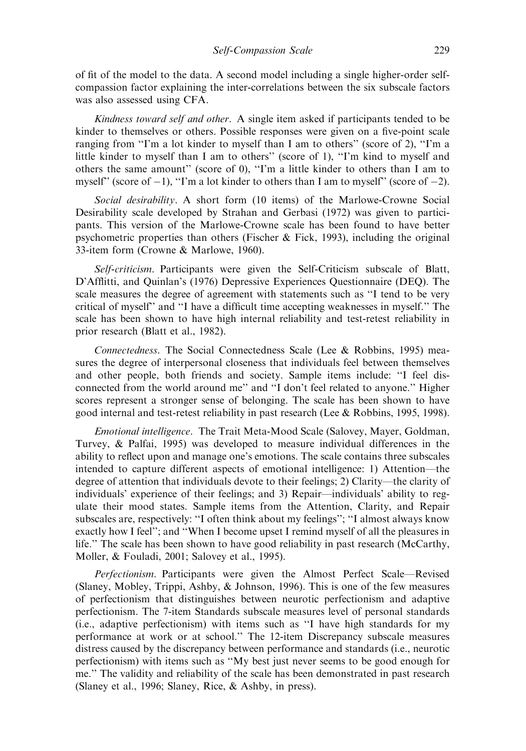of fit of the model to the data. A second model including a single higher-order selfcompassion factor explaining the inter-correlations between the six subscale factors was also assessed using CFA.

Kindness toward self and other. A single item asked if participants tended to be kinder to themselves or others. Possible responses were given on a five-point scale ranging from "I'm a lot kinder to myself than I am to others" (score of 2), "I'm a little kinder to myself than I am to others'' (score of 1), ''I'm kind to myself and others the same amount'' (score of 0), ''I'm a little kinder to others than I am to myself" (score of  $-1$ ), "I'm a lot kinder to others than I am to myself" (score of  $-2$ ).

Social desirability. A short form (10 items) of the Marlowe-Crowne Social Desirability scale developed by Strahan and Gerbasi (1972) was given to participants. This version of the Marlowe-Crowne scale has been found to have better psychometric properties than others (Fischer & Fick, 1993), including the original 33-item form (Crowne & Marlowe, 1960).

Self-criticism. Participants were given the Self-Criticism subscale of Blatt, D'Afflitti, and Quinlan's (1976) Depressive Experiences Questionnaire (DEQ). The scale measures the degree of agreement with statements such as ''I tend to be very critical of myself'' and ''I have a difficult time accepting weaknesses in myself.'' The scale has been shown to have high internal reliability and test-retest reliability in prior research (Blatt et al., 1982).

Connectedness. The Social Connectedness Scale (Lee & Robbins, 1995) measures the degree of interpersonal closeness that individuals feel between themselves and other people, both friends and society. Sample items include: ''I feel disconnected from the world around me'' and ''I don't feel related to anyone.'' Higher scores represent a stronger sense of belonging. The scale has been shown to have good internal and test-retest reliability in past research (Lee & Robbins, 1995, 1998).

Emotional intelligence. The Trait Meta-Mood Scale (Salovey, Mayer, Goldman, Turvey, & Palfai, 1995) was developed to measure individual differences in the ability to reflect upon and manage one's emotions. The scale contains three subscales intended to capture different aspects of emotional intelligence: 1) Attention—the degree of attention that individuals devote to their feelings; 2) Clarity—the clarity of individuals' experience of their feelings; and 3) Repair—individuals' ability to regulate their mood states. Sample items from the Attention, Clarity, and Repair subscales are, respectively: ''I often think about my feelings''; ''I almost always know exactly how I feel''; and ''When I become upset I remind myself of all the pleasures in life.'' The scale has been shown to have good reliability in past research (McCarthy, Moller, & Fouladi, 2001; Salovey et al., 1995).

Perfectionism. Participants were given the Almost Perfect Scale—Revised (Slaney, Mobley, Trippi, Ashby, & Johnson, 1996). This is one of the few measures of perfectionism that distinguishes between neurotic perfectionism and adaptive perfectionism. The 7-item Standards subscale measures level of personal standards (i.e., adaptive perfectionism) with items such as ''I have high standards for my performance at work or at school.'' The 12-item Discrepancy subscale measures distress caused by the discrepancy between performance and standards (i.e., neurotic perfectionism) with items such as ''My best just never seems to be good enough for me.'' The validity and reliability of the scale has been demonstrated in past research (Slaney et al., 1996; Slaney, Rice, & Ashby, in press).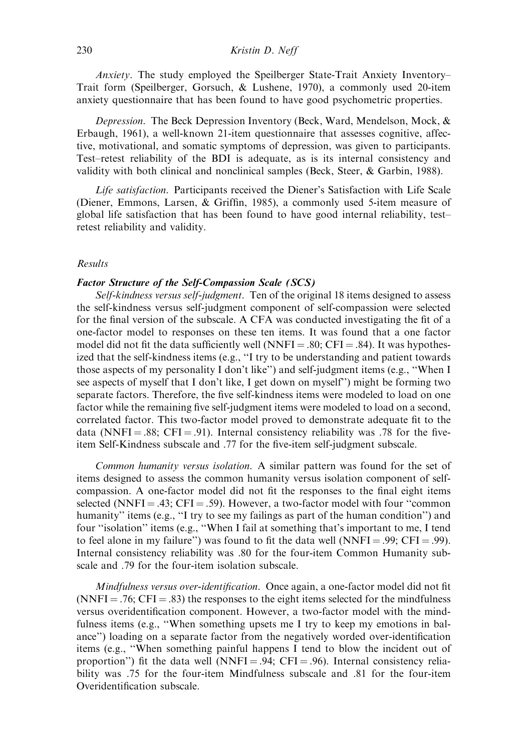Anxiety. The study employed the Speilberger State-Trait Anxiety Inventory– Trait form (Speilberger, Gorsuch, & Lushene, 1970), a commonly used 20-item anxiety questionnaire that has been found to have good psychometric properties.

Depression. The Beck Depression Inventory (Beck, Ward, Mendelson, Mock, & Erbaugh, 1961), a well-known 21-item questionnaire that assesses cognitive, affective, motivational, and somatic symptoms of depression, was given to participants. Test–retest reliability of the BDI is adequate, as is its internal consistency and validity with both clinical and nonclinical samples (Beck, Steer, & Garbin, 1988).

Life satisfaction. Participants received the Diener's Satisfaction with Life Scale (Diener, Emmons, Larsen, & Griffin, 1985), a commonly used 5-item measure of global life satisfaction that has been found to have good internal reliability, test– retest reliability and validity.

#### Results

#### Factor Structure of the Self-Compassion Scale (SCS)

Self-kindness versus self-judgment. Ten of the original 18 items designed to assess the self-kindness versus self-judgment component of self-compassion were selected for the final version of the subscale. A CFA was conducted investigating the fit of a one-factor model to responses on these ten items. It was found that a one factor model did not fit the data sufficiently well ( $NNFI = .80$ ; CFI = .84). It was hypothesized that the self-kindness items (e.g., ''I try to be understanding and patient towards those aspects of my personality I don't like'') and self-judgment items (e.g., ''When I see aspects of myself that I don't like, I get down on myself'') might be forming two separate factors. Therefore, the five self-kindness items were modeled to load on one factor while the remaining five self-judgment items were modeled to load on a second, correlated factor. This two-factor model proved to demonstrate adequate fit to the data (NNFI = .88; CFI = .91). Internal consistency reliability was .78 for the fiveitem Self-Kindness subscale and .77 for the five-item self-judgment subscale.

Common humanity versus isolation. A similar pattern was found for the set of items designed to assess the common humanity versus isolation component of selfcompassion. A one-factor model did not fit the responses to the final eight items selected (NNFI  $=$  .43; CFI  $=$  .59). However, a two-factor model with four "common" humanity" items (e.g., "I try to see my failings as part of the human condition") and four ''isolation'' items (e.g., ''When I fail at something that's important to me, I tend to feel alone in my failure") was found to fit the data well (NNFI = .99;  $CFI = .99$ ). Internal consistency reliability was .80 for the four-item Common Humanity subscale and .79 for the four-item isolation subscale.

Mindfulness versus over-identification. Once again, a one-factor model did not fit  $(NNFI = .76; CFI = .83)$  the responses to the eight items selected for the mindfulness versus overidentification component. However, a two-factor model with the mindfulness items (e.g., ''When something upsets me I try to keep my emotions in balance'') loading on a separate factor from the negatively worded over-identification items (e.g., ''When something painful happens I tend to blow the incident out of proportion'') fit the data well (NNFI = .94;  $CFI = .96$ ). Internal consistency reliability was .75 for the four-item Mindfulness subscale and .81 for the four-item Overidentification subscale.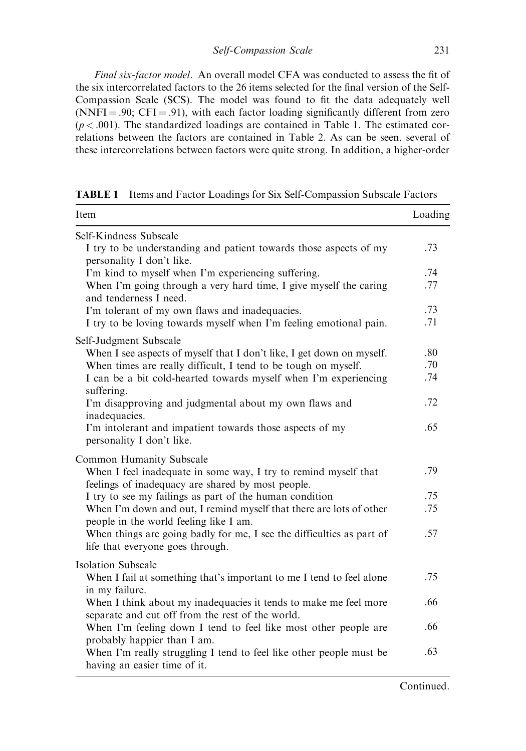Final six-factor model. An overall model CFA was conducted to assess the fit of the six intercorrelated factors to the 26 items selected for the final version of the Self-Compassion Scale (SCS). The model was found to fit the data adequately well  $(NNFI = .90; CFI = .91)$ , with each factor loading significantly different from zero  $(p < .001)$ . The standardized loadings are contained in Table 1. The estimated correlations between the factors are contained in Table 2. As can be seen, several of these intercorrelations between factors were quite strong. In addition, a higher-order

TABLE 1 Items and Factor Loadings for Six Self-Compassion Subscale Factors

| Item                                                                                                                 | Loading |
|----------------------------------------------------------------------------------------------------------------------|---------|
| Self-Kindness Subscale                                                                                               |         |
| I try to be understanding and patient towards those aspects of my<br>personality I don't like.                       | .73     |
| I'm kind to myself when I'm experiencing suffering.                                                                  | .74     |
| When I'm going through a very hard time, I give myself the caring<br>and tenderness I need.                          | .77     |
| I'm tolerant of my own flaws and inadequacies.                                                                       | .73     |
| I try to be loving towards myself when I'm feeling emotional pain.                                                   | .71     |
| Self-Judgment Subscale                                                                                               |         |
| When I see aspects of myself that I don't like, I get down on myself.                                                | .80     |
| When times are really difficult, I tend to be tough on myself.                                                       | .70     |
| I can be a bit cold-hearted towards myself when I'm experiencing<br>suffering.                                       | .74     |
| I'm disapproving and judgmental about my own flaws and<br>inadequacies.                                              | .72     |
| I'm intolerant and impatient towards those aspects of my<br>personality I don't like.                                | .65     |
| Common Humanity Subscale                                                                                             |         |
| When I feel inadequate in some way, I try to remind myself that<br>feelings of inadequacy are shared by most people. | .79     |
| I try to see my failings as part of the human condition                                                              | .75     |
| When I'm down and out, I remind myself that there are lots of other<br>people in the world feeling like I am.        | .75     |
| When things are going badly for me, I see the difficulties as part of<br>life that everyone goes through.            | .57     |
| <b>Isolation Subscale</b>                                                                                            |         |
| When I fail at something that's important to me I tend to feel alone<br>in my failure.                               | .75     |
| When I think about my inadequacies it tends to make me feel more<br>separate and cut off from the rest of the world. | .66     |
| When I'm feeling down I tend to feel like most other people are<br>probably happier than I am.                       | .66     |
| When I'm really struggling I tend to feel like other people must be<br>having an easier time of it.                  | .63     |

Continued.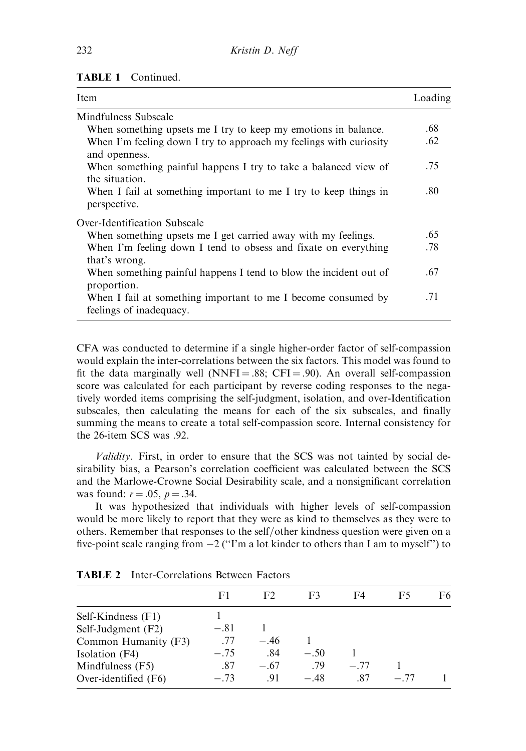| Item                                                                                     | Loading |
|------------------------------------------------------------------------------------------|---------|
| Mindfulness Subscale                                                                     |         |
| When something upsets me I try to keep my emotions in balance.                           | .68     |
| When I'm feeling down I try to approach my feelings with curiosity<br>and openness.      | .62     |
| When something painful happens I try to take a balanced view of<br>the situation.        | .75     |
| When I fail at something important to me I try to keep things in<br>perspective.         | .80     |
| Over-Identification Subscale                                                             |         |
| When something upsets me I get carried away with my feelings.                            | .65     |
| When I'm feeling down I tend to obsess and fixate on everything<br>that's wrong.         | .78     |
| When something painful happens I tend to blow the incident out of<br>proportion.         | .67     |
| When I fail at something important to me I become consumed by<br>feelings of inadequacy. | .71     |

CFA was conducted to determine if a single higher-order factor of self-compassion would explain the inter-correlations between the six factors. This model was found to fit the data marginally well (NNFI = .88; CFI = .90). An overall self-compassion score was calculated for each participant by reverse coding responses to the negatively worded items comprising the self-judgment, isolation, and over-Identification subscales, then calculating the means for each of the six subscales, and finally summing the means to create a total self-compassion score. Internal consistency for the 26-item SCS was .92.

Validity. First, in order to ensure that the SCS was not tainted by social desirability bias, a Pearson's correlation coefficient was calculated between the SCS and the Marlowe-Crowne Social Desirability scale, and a nonsignificant correlation was found:  $r = .05$ ,  $p = .34$ .

It was hypothesized that individuals with higher levels of self-compassion would be more likely to report that they were as kind to themselves as they were to others. Remember that responses to the self/other kindness question were given on a five-point scale ranging from  $-2$  ("I'm a lot kinder to others than I am to myself") to

|                      | F1     | F <sub>2</sub> | F3     | F4     | F5    | F6 |
|----------------------|--------|----------------|--------|--------|-------|----|
| Self-Kindness (F1)   |        |                |        |        |       |    |
| Self-Judgment (F2)   | $-.81$ |                |        |        |       |    |
| Common Humanity (F3) | .77    | $-.46$         |        |        |       |    |
| Isolation (F4)       | $-.75$ | .84            | $-.50$ |        |       |    |
| Mindfulness (F5)     | .87    | $-.67$         | .79    | $-.77$ |       |    |
| Over-identified (F6) | $-.73$ | .91            | $-.48$ | .87    | $-77$ |    |

TABLE 2 Inter-Correlations Between Factors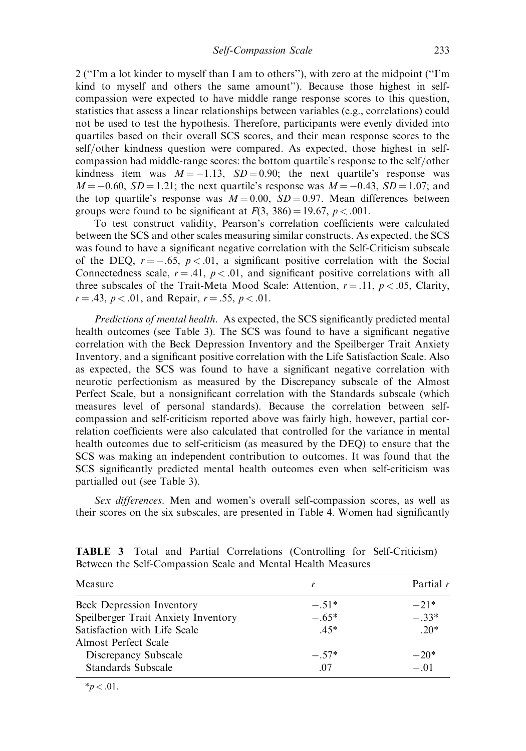2 (''I'm a lot kinder to myself than I am to others''), with zero at the midpoint (''I'm kind to myself and others the same amount''). Because those highest in selfcompassion were expected to have middle range response scores to this question, statistics that assess a linear relationships between variables (e.g., correlations) could not be used to test the hypothesis. Therefore, participants were evenly divided into quartiles based on their overall SCS scores, and their mean response scores to the  $self/other$  kindness question were compared. As expected, those highest in selfcompassion had middle-range scores: the bottom quartile's response to the self/other kindness item was  $M = -1.13$ ,  $SD = 0.90$ ; the next quartile's response was  $M = -0.60$ ,  $SD = 1.21$ ; the next quartile's response was  $M = -0.43$ ,  $SD = 1.07$ ; and the top quartile's response was  $M = 0.00$ ,  $SD = 0.97$ . Mean differences between groups were found to be significant at  $F(3, 386) = 19.67$ ,  $p < .001$ .

To test construct validity, Pearson's correlation coefficients were calculated between the SCS and other scales measuring similar constructs. As expected, the SCS was found to have a significant negative correlation with the Self-Criticism subscale of the DEQ,  $r = -.65$ ,  $p < .01$ , a significant positive correlation with the Social Connectedness scale,  $r = .41$ ,  $p < .01$ , and significant positive correlations with all three subscales of the Trait-Meta Mood Scale: Attention,  $r = .11$ ,  $p < .05$ , Clarity,  $r = .43$ ,  $p < .01$ , and Repair,  $r = .55$ ,  $p < .01$ .

Predictions of mental health. As expected, the SCS significantly predicted mental health outcomes (see Table 3). The SCS was found to have a significant negative correlation with the Beck Depression Inventory and the Speilberger Trait Anxiety Inventory, and a significant positive correlation with the Life Satisfaction Scale. Also as expected, the SCS was found to have a significant negative correlation with neurotic perfectionism as measured by the Discrepancy subscale of the Almost Perfect Scale, but a nonsignificant correlation with the Standards subscale (which measures level of personal standards). Because the correlation between selfcompassion and self-criticism reported above was fairly high, however, partial correlation coefficients were also calculated that controlled for the variance in mental health outcomes due to self-criticism (as measured by the DEQ) to ensure that the SCS was making an independent contribution to outcomes. It was found that the SCS significantly predicted mental health outcomes even when self-criticism was partialled out (see Table 3).

Sex differences. Men and women's overall self-compassion scores, as well as their scores on the six subscales, are presented in Table 4. Women had significantly

| Measure                             |         | Partial r |
|-------------------------------------|---------|-----------|
| Beck Depression Inventory           | $-.51*$ | $-21*$    |
| Speilberger Trait Anxiety Inventory | $-.65*$ | $-.33*$   |
| Satisfaction with Life Scale        | $.45*$  | $.20*$    |
| Almost Perfect Scale                |         |           |
| Discrepancy Subscale                | $-.57*$ | $-20*$    |
| <b>Standards Subscale</b>           | .07     | $-.01$    |

TABLE 3 Total and Partial Correlations (Controlling for Self-Criticism) Between the Self-Compassion Scale and Mental Health Measures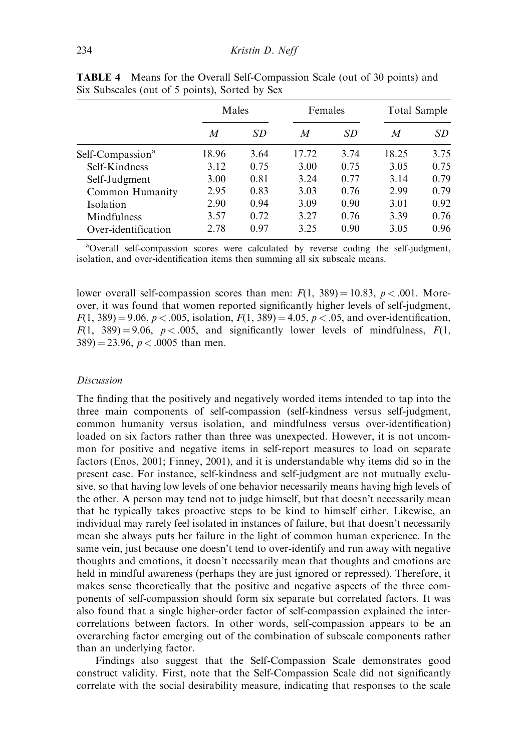|                              | Males |      |       | Females |       | Total Sample |  |
|------------------------------|-------|------|-------|---------|-------|--------------|--|
|                              | M     | SD   | M     | SD      | M     | SD.          |  |
| Self-Compassion <sup>a</sup> | 18.96 | 3.64 | 17.72 | 3.74    | 18.25 | 3.75         |  |
| Self-Kindness                | 3.12  | 0.75 | 3.00  | 0.75    | 3.05  | 0.75         |  |
| Self-Judgment                | 3.00  | 0.81 | 3.24  | 0.77    | 3.14  | 0.79         |  |
| Common Humanity              | 2.95  | 0.83 | 3.03  | 0.76    | 2.99  | 0.79         |  |
| Isolation                    | 2.90  | 0.94 | 3.09  | 0.90    | 3.01  | 0.92         |  |
| Mindfulness                  | 3.57  | 0.72 | 3.27  | 0.76    | 3.39  | 0.76         |  |
| Over-identification          | 2.78  | 0.97 | 3.25  | 0.90    | 3.05  | 0.96         |  |

TABLE 4 Means for the Overall Self-Compassion Scale (out of 30 points) and Six Subscales (out of 5 points), Sorted by Sex

<sup>a</sup>Overall self-compassion scores were calculated by reverse coding the self-judgment, isolation, and over-identification items then summing all six subscale means.

lower overall self-compassion scores than men:  $F(1, 389) = 10.83$ ,  $p < .001$ . Moreover, it was found that women reported significantly higher levels of self-judgment,  $F(1, 389) = 9.06, p < .005$ , isolation,  $F(1, 389) = 4.05, p < .05$ , and over-identification,  $F(1, 389) = 9.06$ ,  $p < .005$ , and significantly lower levels of mindfulness,  $F(1, 16)$  $389$ ) = 23.96, p < .0005 than men.

#### Discussion

The finding that the positively and negatively worded items intended to tap into the three main components of self-compassion (self-kindness versus self-judgment, common humanity versus isolation, and mindfulness versus over-identification) loaded on six factors rather than three was unexpected. However, it is not uncommon for positive and negative items in self-report measures to load on separate factors (Enos, 2001; Finney, 2001), and it is understandable why items did so in the present case. For instance, self-kindness and self-judgment are not mutually exclusive, so that having low levels of one behavior necessarily means having high levels of the other. A person may tend not to judge himself, but that doesn't necessarily mean that he typically takes proactive steps to be kind to himself either. Likewise, an individual may rarely feel isolated in instances of failure, but that doesn't necessarily mean she always puts her failure in the light of common human experience. In the same vein, just because one doesn't tend to over-identify and run away with negative thoughts and emotions, it doesn't necessarily mean that thoughts and emotions are held in mindful awareness (perhaps they are just ignored or repressed). Therefore, it makes sense theoretically that the positive and negative aspects of the three components of self-compassion should form six separate but correlated factors. It was also found that a single higher-order factor of self-compassion explained the intercorrelations between factors. In other words, self-compassion appears to be an overarching factor emerging out of the combination of subscale components rather than an underlying factor.

Findings also suggest that the Self-Compassion Scale demonstrates good construct validity. First, note that the Self-Compassion Scale did not significantly correlate with the social desirability measure, indicating that responses to the scale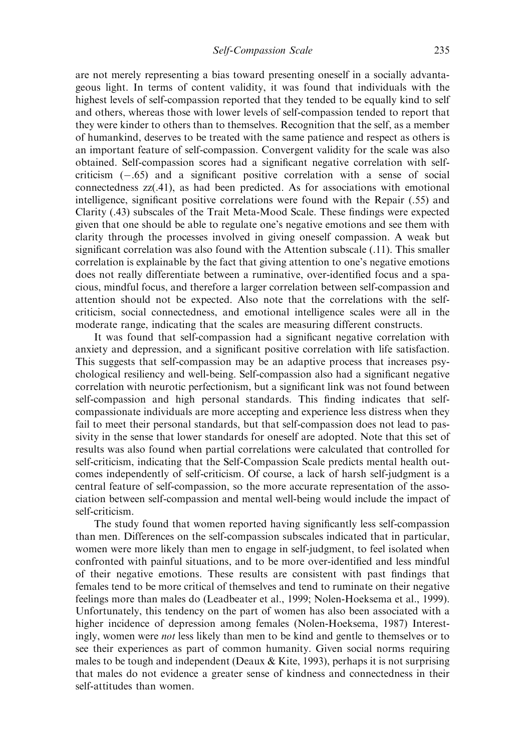are not merely representing a bias toward presenting oneself in a socially advantageous light. In terms of content validity, it was found that individuals with the highest levels of self-compassion reported that they tended to be equally kind to self and others, whereas those with lower levels of self-compassion tended to report that they were kinder to others than to themselves. Recognition that the self, as a member of humankind, deserves to be treated with the same patience and respect as others is an important feature of self-compassion. Convergent validity for the scale was also obtained. Self-compassion scores had a significant negative correlation with selfcriticism  $(-.65)$  and a significant positive correlation with a sense of social connectedness zz(.41), as had been predicted. As for associations with emotional intelligence, significant positive correlations were found with the Repair (.55) and Clarity (.43) subscales of the Trait Meta-Mood Scale. These findings were expected given that one should be able to regulate one's negative emotions and see them with clarity through the processes involved in giving oneself compassion. A weak but significant correlation was also found with the Attention subscale (.11). This smaller correlation is explainable by the fact that giving attention to one's negative emotions does not really differentiate between a ruminative, over-identified focus and a spacious, mindful focus, and therefore a larger correlation between self-compassion and attention should not be expected. Also note that the correlations with the selfcriticism, social connectedness, and emotional intelligence scales were all in the moderate range, indicating that the scales are measuring different constructs.

It was found that self-compassion had a significant negative correlation with anxiety and depression, and a significant positive correlation with life satisfaction. This suggests that self-compassion may be an adaptive process that increases psychological resiliency and well-being. Self-compassion also had a significant negative correlation with neurotic perfectionism, but a significant link was not found between self-compassion and high personal standards. This finding indicates that selfcompassionate individuals are more accepting and experience less distress when they fail to meet their personal standards, but that self-compassion does not lead to passivity in the sense that lower standards for oneself are adopted. Note that this set of results was also found when partial correlations were calculated that controlled for self-criticism, indicating that the Self-Compassion Scale predicts mental health outcomes independently of self-criticism. Of course, a lack of harsh self-judgment is a central feature of self-compassion, so the more accurate representation of the association between self-compassion and mental well-being would include the impact of self-criticism.

The study found that women reported having significantly less self-compassion than men. Differences on the self-compassion subscales indicated that in particular, women were more likely than men to engage in self-judgment, to feel isolated when confronted with painful situations, and to be more over-identified and less mindful of their negative emotions. These results are consistent with past findings that females tend to be more critical of themselves and tend to ruminate on their negative feelings more than males do (Leadbeater et al., 1999; Nolen-Hoeksema et al., 1999). Unfortunately, this tendency on the part of women has also been associated with a higher incidence of depression among females (Nolen-Hoeksema, 1987) Interestingly, women were *not* less likely than men to be kind and gentle to themselves or to see their experiences as part of common humanity. Given social norms requiring males to be tough and independent (Deaux  $&$  Kite, 1993), perhaps it is not surprising that males do not evidence a greater sense of kindness and connectedness in their self-attitudes than women.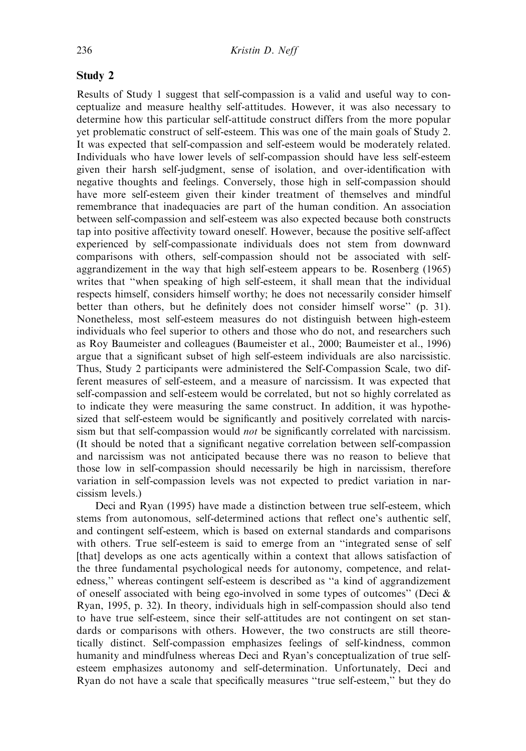## Study 2

Results of Study 1 suggest that self-compassion is a valid and useful way to conceptualize and measure healthy self-attitudes. However, it was also necessary to determine how this particular self-attitude construct differs from the more popular yet problematic construct of self-esteem. This was one of the main goals of Study 2. It was expected that self-compassion and self-esteem would be moderately related. Individuals who have lower levels of self-compassion should have less self-esteem given their harsh self-judgment, sense of isolation, and over-identification with negative thoughts and feelings. Conversely, those high in self-compassion should have more self-esteem given their kinder treatment of themselves and mindful remembrance that inadequacies are part of the human condition. An association between self-compassion and self-esteem was also expected because both constructs tap into positive affectivity toward oneself. However, because the positive self-affect experienced by self-compassionate individuals does not stem from downward comparisons with others, self-compassion should not be associated with selfaggrandizement in the way that high self-esteem appears to be. Rosenberg (1965) writes that ''when speaking of high self-esteem, it shall mean that the individual respects himself, considers himself worthy; he does not necessarily consider himself better than others, but he definitely does not consider himself worse'' (p. 31). Nonetheless, most self-esteem measures do not distinguish between high-esteem individuals who feel superior to others and those who do not, and researchers such as Roy Baumeister and colleagues (Baumeister et al., 2000; Baumeister et al., 1996) argue that a significant subset of high self-esteem individuals are also narcissistic. Thus, Study 2 participants were administered the Self-Compassion Scale, two different measures of self-esteem, and a measure of narcissism. It was expected that self-compassion and self-esteem would be correlated, but not so highly correlated as to indicate they were measuring the same construct. In addition, it was hypothesized that self-esteem would be significantly and positively correlated with narcissism but that self-compassion would not be significantly correlated with narcissism. (It should be noted that a significant negative correlation between self-compassion and narcissism was not anticipated because there was no reason to believe that those low in self-compassion should necessarily be high in narcissism, therefore variation in self-compassion levels was not expected to predict variation in narcissism levels.)

Deci and Ryan (1995) have made a distinction between true self-esteem, which stems from autonomous, self-determined actions that reflect one's authentic self, and contingent self-esteem, which is based on external standards and comparisons with others. True self-esteem is said to emerge from an ''integrated sense of self [that] develops as one acts agentically within a context that allows satisfaction of the three fundamental psychological needs for autonomy, competence, and relatedness,'' whereas contingent self-esteem is described as ''a kind of aggrandizement of oneself associated with being ego-involved in some types of outcomes" (Deci  $\&$ Ryan, 1995, p. 32). In theory, individuals high in self-compassion should also tend to have true self-esteem, since their self-attitudes are not contingent on set standards or comparisons with others. However, the two constructs are still theoretically distinct. Self-compassion emphasizes feelings of self-kindness, common humanity and mindfulness whereas Deci and Ryan's conceptualization of true selfesteem emphasizes autonomy and self-determination. Unfortunately, Deci and Ryan do not have a scale that specifically measures ''true self-esteem,'' but they do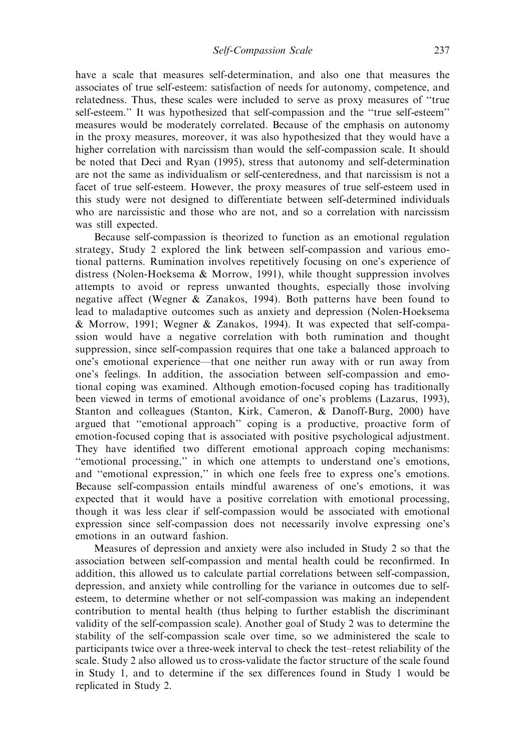have a scale that measures self-determination, and also one that measures the associates of true self-esteem: satisfaction of needs for autonomy, competence, and relatedness. Thus, these scales were included to serve as proxy measures of ''true self-esteem.'' It was hypothesized that self-compassion and the ''true self-esteem'' measures would be moderately correlated. Because of the emphasis on autonomy in the proxy measures, moreover, it was also hypothesized that they would have a higher correlation with narcissism than would the self-compassion scale. It should be noted that Deci and Ryan (1995), stress that autonomy and self-determination are not the same as individualism or self-centeredness, and that narcissism is not a facet of true self-esteem. However, the proxy measures of true self-esteem used in this study were not designed to differentiate between self-determined individuals who are narcissistic and those who are not, and so a correlation with narcissism was still expected.

Because self-compassion is theorized to function as an emotional regulation strategy, Study 2 explored the link between self-compassion and various emotional patterns. Rumination involves repetitively focusing on one's experience of distress (Nolen-Hoeksema & Morrow, 1991), while thought suppression involves attempts to avoid or repress unwanted thoughts, especially those involving negative affect (Wegner & Zanakos, 1994). Both patterns have been found to lead to maladaptive outcomes such as anxiety and depression (Nolen-Hoeksema & Morrow, 1991; Wegner & Zanakos, 1994). It was expected that self-compassion would have a negative correlation with both rumination and thought suppression, since self-compassion requires that one take a balanced approach to one's emotional experience—that one neither run away with or run away from one's feelings. In addition, the association between self-compassion and emotional coping was examined. Although emotion-focused coping has traditionally been viewed in terms of emotional avoidance of one's problems (Lazarus, 1993), Stanton and colleagues (Stanton, Kirk, Cameron, & Danoff-Burg, 2000) have argued that ''emotional approach'' coping is a productive, proactive form of emotion-focused coping that is associated with positive psychological adjustment. They have identified two different emotional approach coping mechanisms: ''emotional processing,'' in which one attempts to understand one's emotions, and ''emotional expression,'' in which one feels free to express one's emotions. Because self-compassion entails mindful awareness of one's emotions, it was expected that it would have a positive correlation with emotional processing, though it was less clear if self-compassion would be associated with emotional expression since self-compassion does not necessarily involve expressing one's emotions in an outward fashion.

Measures of depression and anxiety were also included in Study 2 so that the association between self-compassion and mental health could be reconfirmed. In addition, this allowed us to calculate partial correlations between self-compassion, depression, and anxiety while controlling for the variance in outcomes due to selfesteem, to determine whether or not self-compassion was making an independent contribution to mental health (thus helping to further establish the discriminant validity of the self-compassion scale). Another goal of Study 2 was to determine the stability of the self-compassion scale over time, so we administered the scale to participants twice over a three-week interval to check the test–retest reliability of the scale. Study 2 also allowed us to cross-validate the factor structure of the scale found in Study 1, and to determine if the sex differences found in Study 1 would be replicated in Study 2.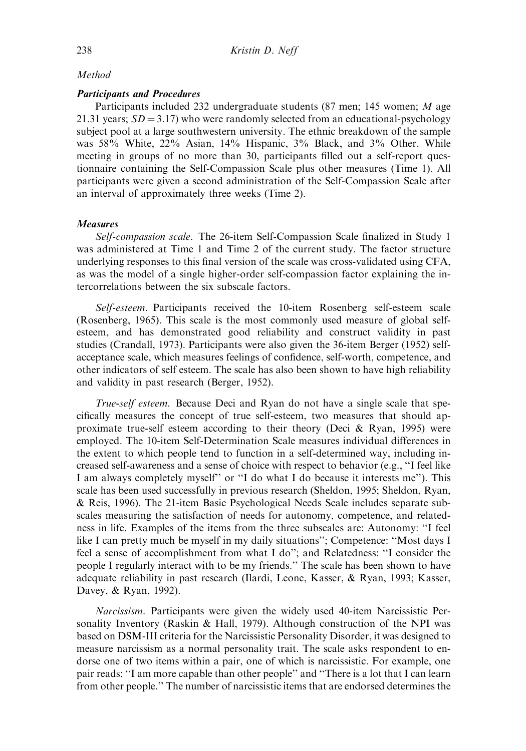#### Method

#### Participants and Procedures

Participants included 232 undergraduate students (87 men; 145 women; M age 21.31 years;  $SD = 3.17$ ) who were randomly selected from an educational-psychology subject pool at a large southwestern university. The ethnic breakdown of the sample was 58% White, 22% Asian, 14% Hispanic, 3% Black, and 3% Other. While meeting in groups of no more than 30, participants filled out a self-report questionnaire containing the Self-Compassion Scale plus other measures (Time 1). All participants were given a second administration of the Self-Compassion Scale after an interval of approximately three weeks (Time 2).

## Measures

Self-compassion scale. The 26-item Self-Compassion Scale finalized in Study 1 was administered at Time 1 and Time 2 of the current study. The factor structure underlying responses to this final version of the scale was cross-validated using CFA, as was the model of a single higher-order self-compassion factor explaining the intercorrelations between the six subscale factors.

Self-esteem. Participants received the 10-item Rosenberg self-esteem scale (Rosenberg, 1965). This scale is the most commonly used measure of global selfesteem, and has demonstrated good reliability and construct validity in past studies (Crandall, 1973). Participants were also given the 36-item Berger (1952) selfacceptance scale, which measures feelings of confidence, self-worth, competence, and other indicators of self esteem. The scale has also been shown to have high reliability and validity in past research (Berger, 1952).

True-self esteem. Because Deci and Ryan do not have a single scale that specifically measures the concept of true self-esteem, two measures that should approximate true-self esteem according to their theory (Deci & Ryan, 1995) were employed. The 10-item Self-Determination Scale measures individual differences in the extent to which people tend to function in a self-determined way, including increased self-awareness and a sense of choice with respect to behavior (e.g., ''I feel like I am always completely myself'' or ''I do what I do because it interests me''). This scale has been used successfully in previous research (Sheldon, 1995; Sheldon, Ryan, & Reis, 1996). The 21-item Basic Psychological Needs Scale includes separate subscales measuring the satisfaction of needs for autonomy, competence, and relatedness in life. Examples of the items from the three subscales are: Autonomy: ''I feel like I can pretty much be myself in my daily situations''; Competence: ''Most days I feel a sense of accomplishment from what I do''; and Relatedness: ''I consider the people I regularly interact with to be my friends.'' The scale has been shown to have adequate reliability in past research (Ilardi, Leone, Kasser, & Ryan, 1993; Kasser, Davey, & Ryan, 1992).

Narcissism. Participants were given the widely used 40-item Narcissistic Personality Inventory (Raskin & Hall, 1979). Although construction of the NPI was based on DSM-III criteria for the Narcissistic Personality Disorder, it was designed to measure narcissism as a normal personality trait. The scale asks respondent to endorse one of two items within a pair, one of which is narcissistic. For example, one pair reads: ''I am more capable than other people'' and ''There is a lot that I can learn from other people.'' The number of narcissistic items that are endorsed determines the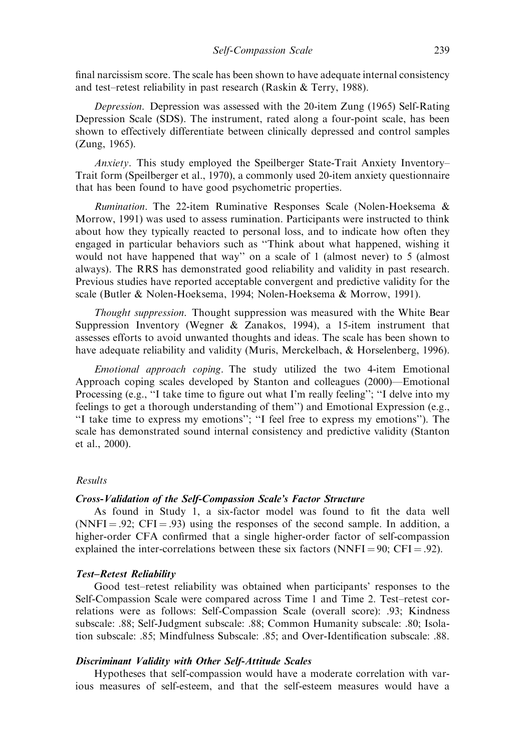final narcissism score. The scale has been shown to have adequate internal consistency and test–retest reliability in past research (Raskin & Terry, 1988).

Depression. Depression was assessed with the 20-item Zung (1965) Self-Rating Depression Scale (SDS). The instrument, rated along a four-point scale, has been shown to effectively differentiate between clinically depressed and control samples (Zung, 1965).

Anxiety. This study employed the Speilberger State-Trait Anxiety Inventory– Trait form (Speilberger et al., 1970), a commonly used 20-item anxiety questionnaire that has been found to have good psychometric properties.

Rumination. The 22-item Ruminative Responses Scale (Nolen-Hoeksema & Morrow, 1991) was used to assess rumination. Participants were instructed to think about how they typically reacted to personal loss, and to indicate how often they engaged in particular behaviors such as ''Think about what happened, wishing it would not have happened that way'' on a scale of 1 (almost never) to 5 (almost always). The RRS has demonstrated good reliability and validity in past research. Previous studies have reported acceptable convergent and predictive validity for the scale (Butler & Nolen-Hoeksema, 1994; Nolen-Hoeksema & Morrow, 1991).

Thought suppression. Thought suppression was measured with the White Bear Suppression Inventory (Wegner & Zanakos, 1994), a 15-item instrument that assesses efforts to avoid unwanted thoughts and ideas. The scale has been shown to have adequate reliability and validity (Muris, Merckelbach, & Horselenberg, 1996).

Emotional approach coping. The study utilized the two 4-item Emotional Approach coping scales developed by Stanton and colleagues (2000)—Emotional Processing (e.g., ''I take time to figure out what I'm really feeling''; ''I delve into my feelings to get a thorough understanding of them'') and Emotional Expression (e.g., ''I take time to express my emotions''; ''I feel free to express my emotions''). The scale has demonstrated sound internal consistency and predictive validity (Stanton et al., 2000).

#### Results

#### Cross-Validation of the Self-Compassion Scale's Factor Structure

As found in Study 1, a six-factor model was found to fit the data well (NNFI = .92; CFI = .93) using the responses of the second sample. In addition, a higher-order CFA confirmed that a single higher-order factor of self-compassion explained the inter-correlations between these six factors (NNFI = 90; CFI = .92).

#### Test–Retest Reliability

Good test–retest reliability was obtained when participants' responses to the Self-Compassion Scale were compared across Time 1 and Time 2. Test–retest correlations were as follows: Self-Compassion Scale (overall score): .93; Kindness subscale: .88; Self-Judgment subscale: .88; Common Humanity subscale: .80; Isolation subscale: .85; Mindfulness Subscale: .85; and Over-Identification subscale: .88.

#### Discriminant Validity with Other Self-Attitude Scales

Hypotheses that self-compassion would have a moderate correlation with various measures of self-esteem, and that the self-esteem measures would have a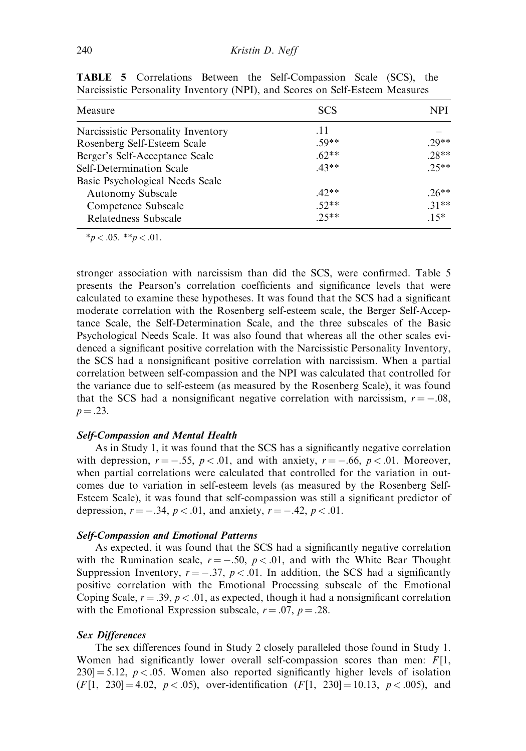| <b>SCS</b> | NPI     |  |
|------------|---------|--|
| .11        |         |  |
| $.59**$    | $29**$  |  |
| $.62**$    | $28**$  |  |
| $.43**$    | $25**$  |  |
|            |         |  |
| $42**$     | $.26**$ |  |
| $52**$     | $.31**$ |  |
| $25**$     | $.15*$  |  |
|            |         |  |

TABLE 5 Correlations Between the Self-Compassion Scale (SCS), the Narcissistic Personality Inventory (NPI), and Scores on Self-Esteem Measures

 $*_{p} < .05.$  \*\* $p < .01.$ 

stronger association with narcissism than did the SCS, were confirmed. Table 5 presents the Pearson's correlation coefficients and significance levels that were calculated to examine these hypotheses. It was found that the SCS had a significant moderate correlation with the Rosenberg self-esteem scale, the Berger Self-Acceptance Scale, the Self-Determination Scale, and the three subscales of the Basic Psychological Needs Scale. It was also found that whereas all the other scales evidenced a significant positive correlation with the Narcissistic Personality Inventory, the SCS had a nonsignificant positive correlation with narcissism. When a partial correlation between self-compassion and the NPI was calculated that controlled for the variance due to self-esteem (as measured by the Rosenberg Scale), it was found that the SCS had a nonsignificant negative correlation with narcissism,  $r = -0.08$ ,  $p = .23$ .

#### Self-Compassion and Mental Health

As in Study 1, it was found that the SCS has a significantly negative correlation with depression,  $r = -.55$ ,  $p < .01$ , and with anxiety,  $r = -.66$ ,  $p < .01$ . Moreover, when partial correlations were calculated that controlled for the variation in outcomes due to variation in self-esteem levels (as measured by the Rosenberg Self-Esteem Scale), it was found that self-compassion was still a significant predictor of depression,  $r = -.34$ ,  $p < .01$ , and anxiety,  $r = -.42$ ,  $p < .01$ .

#### Self-Compassion and Emotional Patterns

As expected, it was found that the SCS had a significantly negative correlation with the Rumination scale,  $r = -.50$ ,  $p < .01$ , and with the White Bear Thought Suppression Inventory,  $r = -.37$ ,  $p < .01$ . In addition, the SCS had a significantly positive correlation with the Emotional Processing subscale of the Emotional Coping Scale,  $r = .39$ ,  $p < .01$ , as expected, though it had a nonsignificant correlation with the Emotional Expression subscale,  $r = .07$ ,  $p = .28$ .

### Sex Differences

The sex differences found in Study 2 closely paralleled those found in Study 1. Women had significantly lower overall self-compassion scores than men:  $F[1, 1]$  $230$  = 5.12, p < .05. Women also reported significantly higher levels of isolation  $(F[1, 230] = 4.02, p < .05)$ , over-identification  $(F[1, 230] = 10.13, p < .005)$ , and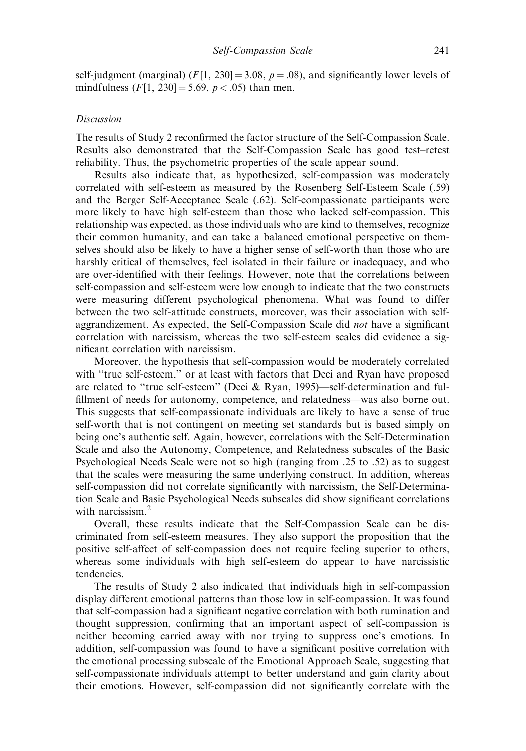self-judgment (marginal) (F[1, 230] = 3.08,  $p = .08$ ), and significantly lower levels of mindfulness  $(F[1, 230] = 5.69, p < .05)$  than men.

#### Discussion

The results of Study 2 reconfirmed the factor structure of the Self-Compassion Scale. Results also demonstrated that the Self-Compassion Scale has good test–retest reliability. Thus, the psychometric properties of the scale appear sound.

Results also indicate that, as hypothesized, self-compassion was moderately correlated with self-esteem as measured by the Rosenberg Self-Esteem Scale (.59) and the Berger Self-Acceptance Scale (.62). Self-compassionate participants were more likely to have high self-esteem than those who lacked self-compassion. This relationship was expected, as those individuals who are kind to themselves, recognize their common humanity, and can take a balanced emotional perspective on themselves should also be likely to have a higher sense of self-worth than those who are harshly critical of themselves, feel isolated in their failure or inadequacy, and who are over-identified with their feelings. However, note that the correlations between self-compassion and self-esteem were low enough to indicate that the two constructs were measuring different psychological phenomena. What was found to differ between the two self-attitude constructs, moreover, was their association with selfaggrandizement. As expected, the Self-Compassion Scale did not have a significant correlation with narcissism, whereas the two self-esteem scales did evidence a significant correlation with narcissism.

Moreover, the hypothesis that self-compassion would be moderately correlated with "true self-esteem," or at least with factors that Deci and Ryan have proposed are related to ''true self-esteem'' (Deci & Ryan, 1995)—self-determination and fulfillment of needs for autonomy, competence, and relatedness—was also borne out. This suggests that self-compassionate individuals are likely to have a sense of true self-worth that is not contingent on meeting set standards but is based simply on being one's authentic self. Again, however, correlations with the Self-Determination Scale and also the Autonomy, Competence, and Relatedness subscales of the Basic Psychological Needs Scale were not so high (ranging from .25 to .52) as to suggest that the scales were measuring the same underlying construct. In addition, whereas self-compassion did not correlate significantly with narcissism, the Self-Determination Scale and Basic Psychological Needs subscales did show significant correlations with narcissism.<sup>2</sup>

Overall, these results indicate that the Self-Compassion Scale can be discriminated from self-esteem measures. They also support the proposition that the positive self-affect of self-compassion does not require feeling superior to others, whereas some individuals with high self-esteem do appear to have narcissistic tendencies.

The results of Study 2 also indicated that individuals high in self-compassion display different emotional patterns than those low in self-compassion. It was found that self-compassion had a significant negative correlation with both rumination and thought suppression, confirming that an important aspect of self-compassion is neither becoming carried away with nor trying to suppress one's emotions. In addition, self-compassion was found to have a significant positive correlation with the emotional processing subscale of the Emotional Approach Scale, suggesting that self-compassionate individuals attempt to better understand and gain clarity about their emotions. However, self-compassion did not significantly correlate with the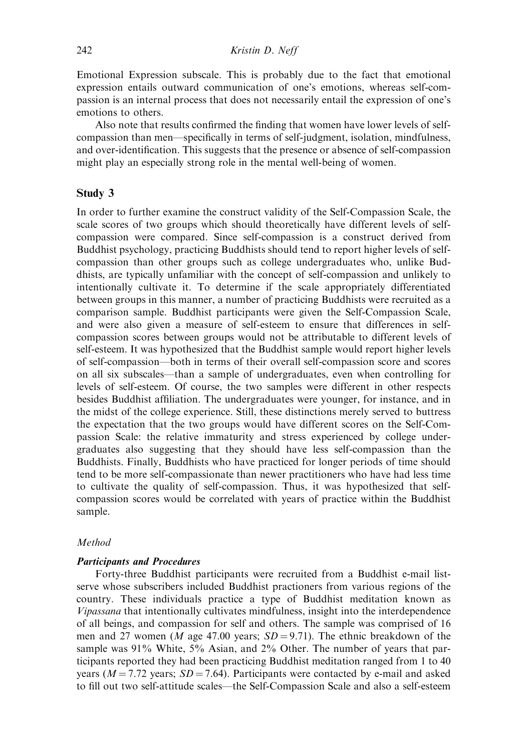Emotional Expression subscale. This is probably due to the fact that emotional expression entails outward communication of one's emotions, whereas self-compassion is an internal process that does not necessarily entail the expression of one's emotions to others.

Also note that results confirmed the finding that women have lower levels of selfcompassion than men—specifically in terms of self-judgment, isolation, mindfulness, and over-identification. This suggests that the presence or absence of self-compassion might play an especially strong role in the mental well-being of women.

## Study 3

In order to further examine the construct validity of the Self-Compassion Scale, the scale scores of two groups which should theoretically have different levels of selfcompassion were compared. Since self-compassion is a construct derived from Buddhist psychology, practicing Buddhists should tend to report higher levels of selfcompassion than other groups such as college undergraduates who, unlike Buddhists, are typically unfamiliar with the concept of self-compassion and unlikely to intentionally cultivate it. To determine if the scale appropriately differentiated between groups in this manner, a number of practicing Buddhists were recruited as a comparison sample. Buddhist participants were given the Self-Compassion Scale, and were also given a measure of self-esteem to ensure that differences in selfcompassion scores between groups would not be attributable to different levels of self-esteem. It was hypothesized that the Buddhist sample would report higher levels of self-compassion—both in terms of their overall self-compassion score and scores on all six subscales—than a sample of undergraduates, even when controlling for levels of self-esteem. Of course, the two samples were different in other respects besides Buddhist affiliation. The undergraduates were younger, for instance, and in the midst of the college experience. Still, these distinctions merely served to buttress the expectation that the two groups would have different scores on the Self-Compassion Scale: the relative immaturity and stress experienced by college undergraduates also suggesting that they should have less self-compassion than the Buddhists. Finally, Buddhists who have practiced for longer periods of time should tend to be more self-compassionate than newer practitioners who have had less time to cultivate the quality of self-compassion. Thus, it was hypothesized that selfcompassion scores would be correlated with years of practice within the Buddhist sample.

#### Method

#### Participants and Procedures

Forty-three Buddhist participants were recruited from a Buddhist e-mail listserve whose subscribers included Buddhist practioners from various regions of the country. These individuals practice a type of Buddhist meditation known as Vipassana that intentionally cultivates mindfulness, insight into the interdependence of all beings, and compassion for self and others. The sample was comprised of 16 men and 27 women (*M* age 47.00 years;  $SD = 9.71$ ). The ethnic breakdown of the sample was 91% White, 5% Asian, and 2% Other. The number of years that participants reported they had been practicing Buddhist meditation ranged from 1 to 40 years ( $M = 7.72$  years;  $SD = 7.64$ ). Participants were contacted by e-mail and asked to fill out two self-attitude scales—the Self-Compassion Scale and also a self-esteem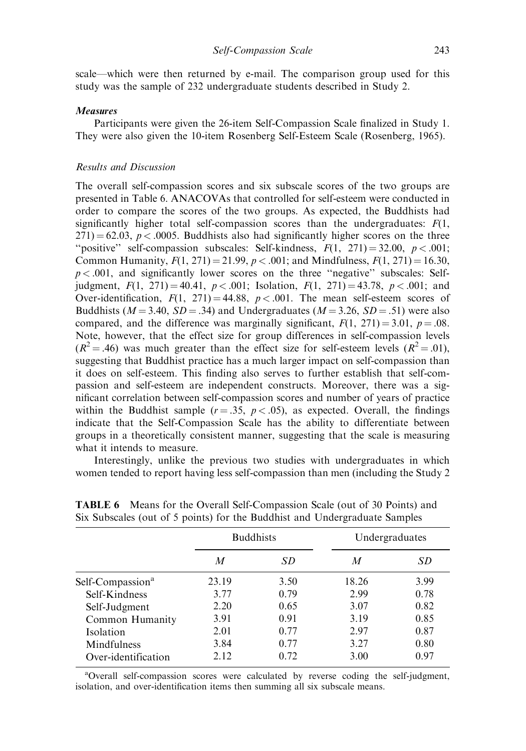scale—which were then returned by e-mail. The comparison group used for this study was the sample of 232 undergraduate students described in Study 2.

## Measures

Participants were given the 26-item Self-Compassion Scale finalized in Study 1. They were also given the 10-item Rosenberg Self-Esteem Scale (Rosenberg, 1965).

## Results and Discussion

The overall self-compassion scores and six subscale scores of the two groups are presented in Table 6. ANACOVAs that controlled for self-esteem were conducted in order to compare the scores of the two groups. As expected, the Buddhists had significantly higher total self-compassion scores than the undergraduates:  $F(1)$ ,  $271$ ) = 62.03, p < .0005. Buddhists also had significantly higher scores on the three "positive" self-compassion subscales: Self-kindness,  $F(1, 271) = 32.00, p < .001;$ Common Humanity,  $F(1, 271) = 21.99$ ,  $p < .001$ ; and Mindfulness,  $F(1, 271) = 16.30$ ,  $p < .001$ , and significantly lower scores on the three "negative" subscales: Selfjudgment,  $F(1, 271) = 40.41$ ,  $p < .001$ ; Isolation,  $F(1, 271) = 43.78$ ,  $p < .001$ ; and Over-identification,  $F(1, 271) = 44.88$ ,  $p < .001$ . The mean self-esteem scores of Buddhists ( $M = 3.40$ ,  $SD = .34$ ) and Undergraduates ( $M = 3.26$ ,  $SD = .51$ ) were also compared, and the difference was marginally significant,  $F(1, 271) = 3.01$ ,  $p = .08$ . Note, however, that the effect size for group differences in self-compassion levels  $(R^2 = .46)$  was much greater than the effect size for self-esteem levels  $(R^2 = .01)$ , suggesting that Buddhist practice has a much larger impact on self-compassion than it does on self-esteem. This finding also serves to further establish that self-compassion and self-esteem are independent constructs. Moreover, there was a significant correlation between self-compassion scores and number of years of practice within the Buddhist sample  $(r = .35, p < .05)$ , as expected. Overall, the findings indicate that the Self-Compassion Scale has the ability to differentiate between groups in a theoretically consistent manner, suggesting that the scale is measuring what it intends to measure.

Interestingly, unlike the previous two studies with undergraduates in which women tended to report having less self-compassion than men (including the Study 2

|                              |       | <b>Buddhists</b> | Undergraduates |      |
|------------------------------|-------|------------------|----------------|------|
|                              | M     | SD               | M              | SD   |
| Self-Compassion <sup>a</sup> | 23.19 | 3.50             | 18.26          | 3.99 |
| Self-Kindness                | 3.77  | 0.79             | 2.99           | 0.78 |
| Self-Judgment                | 2.20  | 0.65             | 3.07           | 0.82 |
| Common Humanity              | 3.91  | 0.91             | 3.19           | 0.85 |
| <b>Isolation</b>             | 2.01  | 0.77             | 2.97           | 0.87 |
| Mindfulness                  | 3.84  | 0.77             | 3.27           | 0.80 |
| Over-identification          | 2.12  | 0.72             | 3.00           | 0.97 |

TABLE 6 Means for the Overall Self-Compassion Scale (out of 30 Points) and Six Subscales (out of 5 points) for the Buddhist and Undergraduate Samples

<sup>a</sup>Overall self-compassion scores were calculated by reverse coding the self-judgment, isolation, and over-identification items then summing all six subscale means.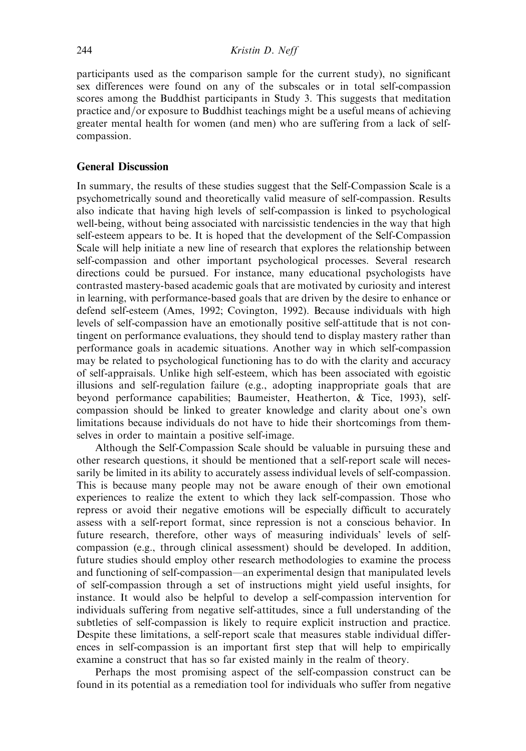participants used as the comparison sample for the current study), no significant sex differences were found on any of the subscales or in total self-compassion scores among the Buddhist participants in Study 3. This suggests that meditation practice and/or exposure to Buddhist teachings might be a useful means of achieving greater mental health for women (and men) who are suffering from a lack of selfcompassion.

## General Discussion

In summary, the results of these studies suggest that the Self-Compassion Scale is a psychometrically sound and theoretically valid measure of self-compassion. Results also indicate that having high levels of self-compassion is linked to psychological well-being, without being associated with narcissistic tendencies in the way that high self-esteem appears to be. It is hoped that the development of the Self-Compassion Scale will help initiate a new line of research that explores the relationship between self-compassion and other important psychological processes. Several research directions could be pursued. For instance, many educational psychologists have contrasted mastery-based academic goals that are motivated by curiosity and interest in learning, with performance-based goals that are driven by the desire to enhance or defend self-esteem (Ames, 1992; Covington, 1992). Because individuals with high levels of self-compassion have an emotionally positive self-attitude that is not contingent on performance evaluations, they should tend to display mastery rather than performance goals in academic situations. Another way in which self-compassion may be related to psychological functioning has to do with the clarity and accuracy of self-appraisals. Unlike high self-esteem, which has been associated with egoistic illusions and self-regulation failure (e.g., adopting inappropriate goals that are beyond performance capabilities; Baumeister, Heatherton, & Tice, 1993), selfcompassion should be linked to greater knowledge and clarity about one's own limitations because individuals do not have to hide their shortcomings from themselves in order to maintain a positive self-image.

Although the Self-Compassion Scale should be valuable in pursuing these and other research questions, it should be mentioned that a self-report scale will necessarily be limited in its ability to accurately assess individual levels of self-compassion. This is because many people may not be aware enough of their own emotional experiences to realize the extent to which they lack self-compassion. Those who repress or avoid their negative emotions will be especially difficult to accurately assess with a self-report format, since repression is not a conscious behavior. In future research, therefore, other ways of measuring individuals' levels of selfcompassion (e.g., through clinical assessment) should be developed. In addition, future studies should employ other research methodologies to examine the process and functioning of self-compassion—an experimental design that manipulated levels of self-compassion through a set of instructions might yield useful insights, for instance. It would also be helpful to develop a self-compassion intervention for individuals suffering from negative self-attitudes, since a full understanding of the subtleties of self-compassion is likely to require explicit instruction and practice. Despite these limitations, a self-report scale that measures stable individual differences in self-compassion is an important first step that will help to empirically examine a construct that has so far existed mainly in the realm of theory.

Perhaps the most promising aspect of the self-compassion construct can be found in its potential as a remediation tool for individuals who suffer from negative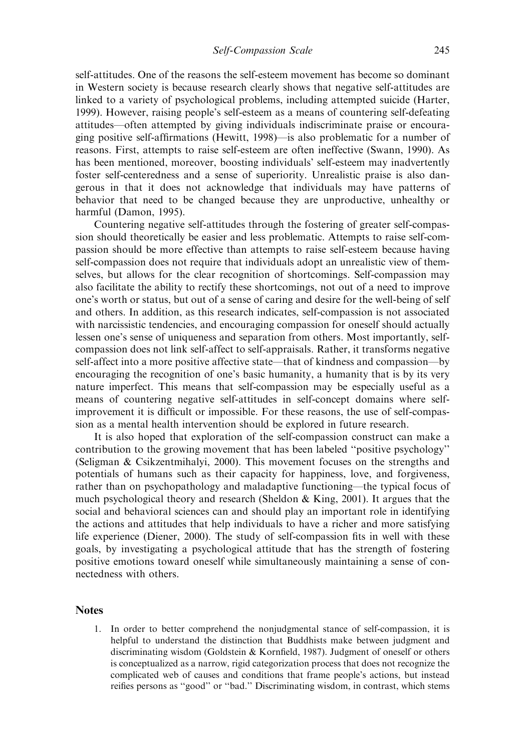self-attitudes. One of the reasons the self-esteem movement has become so dominant in Western society is because research clearly shows that negative self-attitudes are linked to a variety of psychological problems, including attempted suicide (Harter, 1999). However, raising people's self-esteem as a means of countering self-defeating attitudes—often attempted by giving individuals indiscriminate praise or encouraging positive self-affirmations (Hewitt, 1998)—is also problematic for a number of reasons. First, attempts to raise self-esteem are often ineffective (Swann, 1990). As has been mentioned, moreover, boosting individuals' self-esteem may inadvertently foster self-centeredness and a sense of superiority. Unrealistic praise is also dangerous in that it does not acknowledge that individuals may have patterns of behavior that need to be changed because they are unproductive, unhealthy or harmful (Damon, 1995).

Countering negative self-attitudes through the fostering of greater self-compassion should theoretically be easier and less problematic. Attempts to raise self-compassion should be more effective than attempts to raise self-esteem because having self-compassion does not require that individuals adopt an unrealistic view of themselves, but allows for the clear recognition of shortcomings. Self-compassion may also facilitate the ability to rectify these shortcomings, not out of a need to improve one's worth or status, but out of a sense of caring and desire for the well-being of self and others. In addition, as this research indicates, self-compassion is not associated with narcissistic tendencies, and encouraging compassion for oneself should actually lessen one's sense of uniqueness and separation from others. Most importantly, selfcompassion does not link self-affect to self-appraisals. Rather, it transforms negative self-affect into a more positive affective state—that of kindness and compassion—by encouraging the recognition of one's basic humanity, a humanity that is by its very nature imperfect. This means that self-compassion may be especially useful as a means of countering negative self-attitudes in self-concept domains where selfimprovement it is difficult or impossible. For these reasons, the use of self-compassion as a mental health intervention should be explored in future research.

It is also hoped that exploration of the self-compassion construct can make a contribution to the growing movement that has been labeled ''positive psychology'' (Seligman & Csikzentmihalyi, 2000). This movement focuses on the strengths and potentials of humans such as their capacity for happiness, love, and forgiveness, rather than on psychopathology and maladaptive functioning—the typical focus of much psychological theory and research (Sheldon  $\&$  King, 2001). It argues that the social and behavioral sciences can and should play an important role in identifying the actions and attitudes that help individuals to have a richer and more satisfying life experience (Diener, 2000). The study of self-compassion fits in well with these goals, by investigating a psychological attitude that has the strength of fostering positive emotions toward oneself while simultaneously maintaining a sense of connectedness with others.

#### **Notes**

1. In order to better comprehend the nonjudgmental stance of self-compassion, it is helpful to understand the distinction that Buddhists make between judgment and discriminating wisdom (Goldstein & Kornfield, 1987). Judgment of oneself or others is conceptualized as a narrow, rigid categorization process that does not recognize the complicated web of causes and conditions that frame people's actions, but instead reifies persons as ''good'' or ''bad.'' Discriminating wisdom, in contrast, which stems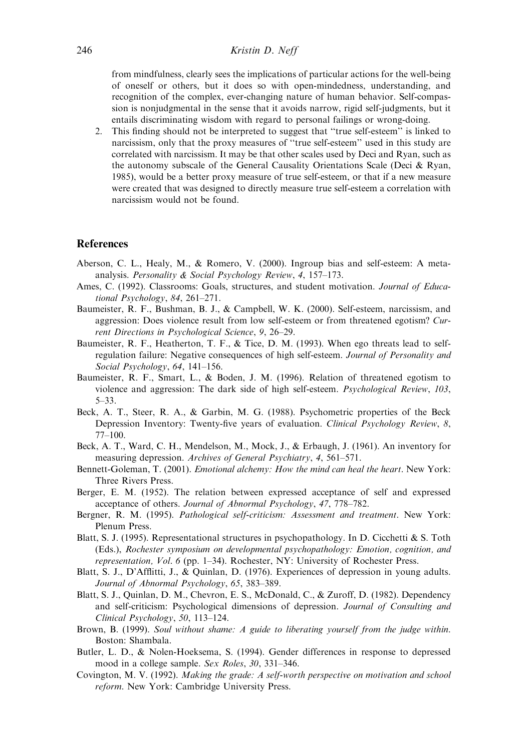from mindfulness, clearly sees the implications of particular actions for the well-being of oneself or others, but it does so with open-mindedness, understanding, and recognition of the complex, ever-changing nature of human behavior. Self-compassion is nonjudgmental in the sense that it avoids narrow, rigid self-judgments, but it entails discriminating wisdom with regard to personal failings or wrong-doing.

2. This finding should not be interpreted to suggest that ''true self-esteem'' is linked to narcissism, only that the proxy measures of ''true self-esteem'' used in this study are correlated with narcissism. It may be that other scales used by Deci and Ryan, such as the autonomy subscale of the General Causality Orientations Scale (Deci & Ryan, 1985), would be a better proxy measure of true self-esteem, or that if a new measure were created that was designed to directly measure true self-esteem a correlation with narcissism would not be found.

## References

- Aberson, C. L., Healy, M., & Romero, V. (2000). Ingroup bias and self-esteem: A metaanalysis. Personality & Social Psychology Review, 4, 157–173.
- Ames, C. (1992). Classrooms: Goals, structures, and student motivation. Journal of Educational Psychology, 84, 261–271.
- Baumeister, R. F., Bushman, B. J., & Campbell, W. K. (2000). Self-esteem, narcissism, and aggression: Does violence result from low self-esteem or from threatened egotism? Current Directions in Psychological Science, 9, 26–29.
- Baumeister, R. F., Heatherton, T. F., & Tice, D. M. (1993). When ego threats lead to selfregulation failure: Negative consequences of high self-esteem. Journal of Personality and Social Psychology, 64, 141–156.
- Baumeister, R. F., Smart, L., & Boden, J. M. (1996). Relation of threatened egotism to violence and aggression: The dark side of high self-esteem. Psychological Review, 103, 5–33.
- Beck, A. T., Steer, R. A., & Garbin, M. G. (1988). Psychometric properties of the Beck Depression Inventory: Twenty-five years of evaluation. Clinical Psychology Review, 8, 77–100.
- Beck, A. T., Ward, C. H., Mendelson, M., Mock, J., & Erbaugh, J. (1961). An inventory for measuring depression. Archives of General Psychiatry, 4, 561–571.
- Bennett-Goleman, T. (2001). *Emotional alchemy: How the mind can heal the heart*. New York: Three Rivers Press.
- Berger, E. M. (1952). The relation between expressed acceptance of self and expressed acceptance of others. Journal of Abnormal Psychology, 47, 778–782.
- Bergner, R. M. (1995). Pathological self-criticism: Assessment and treatment. New York: Plenum Press.
- Blatt, S. J. (1995). Representational structures in psychopathology. In D. Cicchetti & S. Toth (Eds.), Rochester symposium on developmental psychopathology: Emotion, cognition, and representation, Vol. 6 (pp. 1–34). Rochester, NY: University of Rochester Press.
- Blatt, S. J., D'Afflitti, J., & Quinlan, D. (1976). Experiences of depression in young adults. Journal of Abnormal Psychology, 65, 383–389.
- Blatt, S. J., Quinlan, D. M., Chevron, E. S., McDonald, C., & Zuroff, D. (1982). Dependency and self-criticism: Psychological dimensions of depression. Journal of Consulting and Clinical Psychology, 50, 113–124.
- Brown, B. (1999). Soul without shame: A guide to liberating yourself from the judge within. Boston: Shambala.
- Butler, L. D., & Nolen-Hoeksema, S. (1994). Gender differences in response to depressed mood in a college sample. Sex Roles, 30, 331–346.
- Covington, M. V. (1992). Making the grade: A self-worth perspective on motivation and school reform. New York: Cambridge University Press.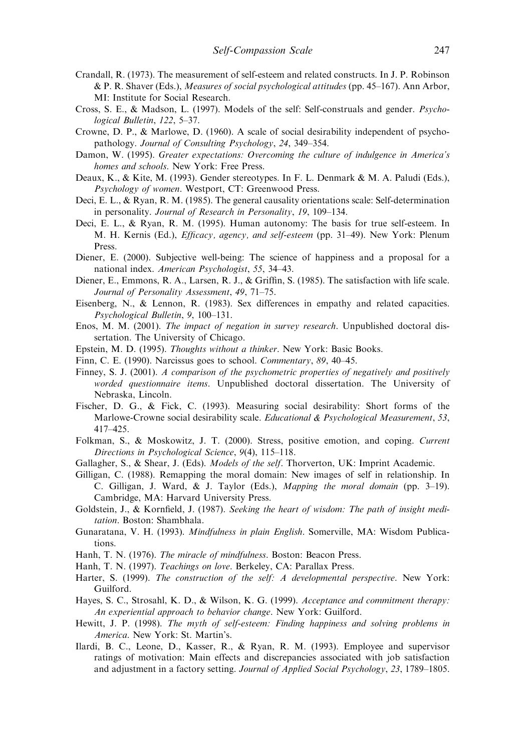- Crandall, R. (1973). The measurement of self-esteem and related constructs. In J. P. Robinson & P. R. Shaver (Eds.), Measures of social psychological attitudes (pp. 45–167). Ann Arbor, MI: Institute for Social Research.
- Cross, S. E., & Madson, L. (1997). Models of the self: Self-construals and gender. Psychological Bulletin, 122, 5–37.
- Crowne, D. P., & Marlowe, D. (1960). A scale of social desirability independent of psychopathology. Journal of Consulting Psychology, 24, 349–354.
- Damon, W. (1995). Greater expectations: Overcoming the culture of indulgence in America's homes and schools. New York: Free Press.
- Deaux, K., & Kite, M. (1993). Gender stereotypes. In F. L. Denmark & M. A. Paludi (Eds.), Psychology of women. Westport, CT: Greenwood Press.
- Deci, E. L., & Ryan, R. M. (1985). The general causality orientations scale: Self-determination in personality. Journal of Research in Personality, 19, 109–134.
- Deci, E. L., & Ryan, R. M. (1995). Human autonomy: The basis for true self-esteem. In M. H. Kernis (Ed.), Efficacy, agency, and self-esteem (pp. 31–49). New York: Plenum Press.
- Diener, E. (2000). Subjective well-being: The science of happiness and a proposal for a national index. American Psychologist, 55, 34–43.
- Diener, E., Emmons, R. A., Larsen, R. J., & Griffin, S. (1985). The satisfaction with life scale. Journal of Personality Assessment, 49, 71–75.
- Eisenberg, N., & Lennon, R. (1983). Sex differences in empathy and related capacities. Psychological Bulletin, 9, 100–131.
- Enos, M. M. (2001). The impact of negation in survey research. Unpublished doctoral dissertation. The University of Chicago.
- Epstein, M. D. (1995). Thoughts without a thinker. New York: Basic Books.
- Finn, C. E. (1990). Narcissus goes to school. Commentary, 89, 40–45.
- Finney, S. J. (2001). A comparison of the psychometric properties of negatively and positively worded questionnaire items. Unpublished doctoral dissertation. The University of Nebraska, Lincoln.
- Fischer, D. G., & Fick, C. (1993). Measuring social desirability: Short forms of the Marlowe-Crowne social desirability scale. Educational & Psychological Measurement, 53, 417–425.
- Folkman, S., & Moskowitz, J. T. (2000). Stress, positive emotion, and coping. Current Directions in Psychological Science, 9(4), 115–118.
- Gallagher, S., & Shear, J. (Eds). *Models of the self.* Thorverton, UK: Imprint Academic.
- Gilligan, C. (1988). Remapping the moral domain: New images of self in relationship. In C. Gilligan, J. Ward, & J. Taylor (Eds.), Mapping the moral domain (pp. 3–19). Cambridge, MA: Harvard University Press.
- Goldstein, J., & Kornfield, J. (1987). Seeking the heart of wisdom: The path of insight meditation. Boston: Shambhala.
- Gunaratana, V. H. (1993). Mindfulness in plain English. Somerville, MA: Wisdom Publications.
- Hanh, T. N. (1976). The miracle of mindfulness. Boston: Beacon Press.
- Hanh, T. N. (1997). Teachings on love. Berkeley, CA: Parallax Press.
- Harter, S. (1999). The construction of the self: A developmental perspective. New York: Guilford.
- Hayes, S. C., Strosahl, K. D., & Wilson, K. G. (1999). Acceptance and commitment therapy: An experiential approach to behavior change. New York: Guilford.
- Hewitt, J. P. (1998). The myth of self-esteem: Finding happiness and solving problems in America. New York: St. Martin's.
- Ilardi, B. C., Leone, D., Kasser, R., & Ryan, R. M. (1993). Employee and supervisor ratings of motivation: Main effects and discrepancies associated with job satisfaction and adjustment in a factory setting. Journal of Applied Social Psychology, 23, 1789–1805.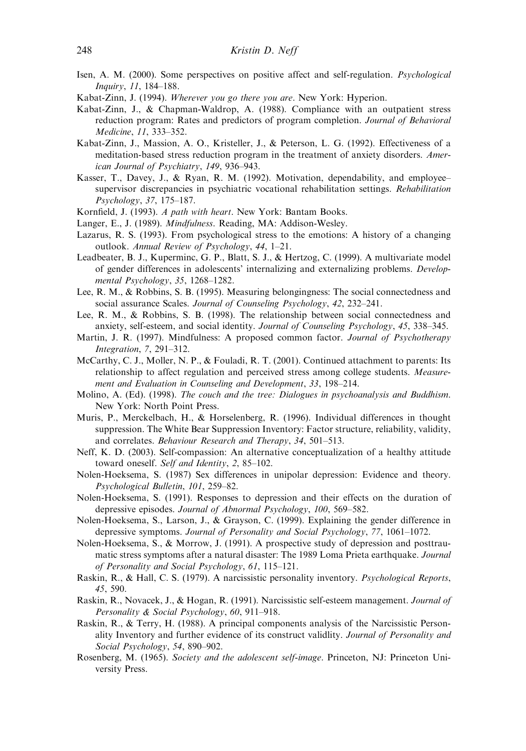- Isen, A. M. (2000). Some perspectives on positive affect and self-regulation. Psychological Inquiry, 11, 184–188.
- Kabat-Zinn, J. (1994). Wherever you go there you are. New York: Hyperion.
- Kabat-Zinn, J., & Chapman-Waldrop, A. (1988). Compliance with an outpatient stress reduction program: Rates and predictors of program completion. Journal of Behavioral Medicine, 11, 333–352.
- Kabat-Zinn, J., Massion, A. O., Kristeller, J., & Peterson, L. G. (1992). Effectiveness of a meditation-based stress reduction program in the treatment of anxiety disorders. American Journal of Psychiatry, 149, 936–943.
- Kasser, T., Davey, J., & Ryan, R. M. (1992). Motivation, dependability, and employee– supervisor discrepancies in psychiatric vocational rehabilitation settings. Rehabilitation Psychology, 37, 175–187.
- Kornfield, J. (1993). A path with heart. New York: Bantam Books.
- Langer, E., J. (1989). Mindfulness. Reading, MA: Addison-Wesley.
- Lazarus, R. S. (1993). From psychological stress to the emotions: A history of a changing outlook. Annual Review of Psychology, 44, 1–21.
- Leadbeater, B. J., Kuperminc, G. P., Blatt, S. J., & Hertzog, C. (1999). A multivariate model of gender differences in adolescents' internalizing and externalizing problems. Developmental Psychology, 35, 1268–1282.
- Lee, R. M., & Robbins, S. B. (1995). Measuring belongingness: The social connectedness and social assurance Scales. Journal of Counseling Psychology, 42, 232–241.
- Lee, R. M., & Robbins, S. B. (1998). The relationship between social connectedness and anxiety, self-esteem, and social identity. Journal of Counseling Psychology, 45, 338–345.
- Martin, J. R. (1997). Mindfulness: A proposed common factor. Journal of Psychotherapy Integration, 7, 291–312.
- McCarthy, C. J., Moller, N. P., & Fouladi, R. T. (2001). Continued attachment to parents: Its relationship to affect regulation and perceived stress among college students. Measurement and Evaluation in Counseling and Development, 33, 198–214.
- Molino, A. (Ed). (1998). The couch and the tree: Dialogues in psychoanalysis and Buddhism. New York: North Point Press.
- Muris, P., Merckelbach, H., & Horselenberg, R. (1996). Individual differences in thought suppression. The White Bear Suppression Inventory: Factor structure, reliability, validity, and correlates. Behaviour Research and Therapy, 34, 501–513.
- Neff, K. D. (2003). Self-compassion: An alternative conceptualization of a healthy attitude toward oneself. Self and Identity, 2, 85–102.
- Nolen-Hoeksema, S. (1987) Sex differences in unipolar depression: Evidence and theory. Psychological Bulletin, 101, 259–82.
- Nolen-Hoeksema, S. (1991). Responses to depression and their effects on the duration of depressive episodes. Journal of Abnormal Psychology, 100, 569–582.
- Nolen-Hoeksema, S., Larson, J., & Grayson, C. (1999). Explaining the gender difference in depressive symptoms. Journal of Personality and Social Psychology, 77, 1061–1072.
- Nolen-Hoeksema, S., & Morrow, J. (1991). A prospective study of depression and posttraumatic stress symptoms after a natural disaster: The 1989 Loma Prieta earthquake. Journal of Personality and Social Psychology, 61, 115–121.
- Raskin, R., & Hall, C. S. (1979). A narcissistic personality inventory. Psychological Reports, 45, 590.
- Raskin, R., Novacek, J., & Hogan, R. (1991). Narcissistic self-esteem management. Journal of Personality & Social Psychology, 60, 911–918.
- Raskin, R., & Terry, H. (1988). A principal components analysis of the Narcissistic Personality Inventory and further evidence of its construct validlity. Journal of Personality and Social Psychology, 54, 890–902.
- Rosenberg, M. (1965). Society and the adolescent self-image. Princeton, NJ: Princeton University Press.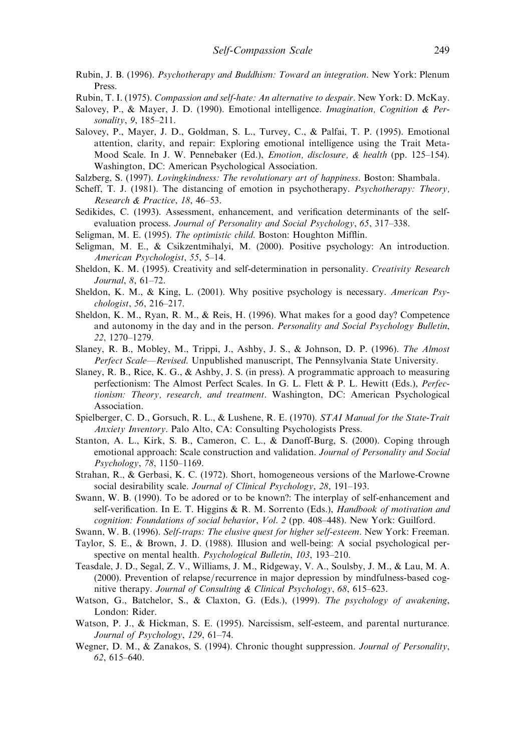- Rubin, J. B. (1996). Psychotherapy and Buddhism: Toward an integration. New York: Plenum Press.
- Rubin, T. I. (1975). Compassion and self-hate: An alternative to despair. New York: D. McKay.
- Salovey, P., & Mayer, J. D. (1990). Emotional intelligence. *Imagination, Cognition & Per*sonality, 9, 185–211.
- Salovey, P., Mayer, J. D., Goldman, S. L., Turvey, C., & Palfai, T. P. (1995). Emotional attention, clarity, and repair: Exploring emotional intelligence using the Trait Meta-Mood Scale. In J. W. Pennebaker (Ed.), *Emotion, disclosure, & health* (pp. 125–154). Washington, DC: American Psychological Association.
- Salzberg, S. (1997). Lovingkindness: The revolutionary art of happiness. Boston: Shambala.
- Scheff, T. J. (1981). The distancing of emotion in psychotherapy. *Psychotherapy: Theory*, Research & Practice, 18, 46–53.
- Sedikides, C. (1993). Assessment, enhancement, and verification determinants of the selfevaluation process. Journal of Personality and Social Psychology, 65, 317–338.
- Seligman, M. E. (1995). The optimistic child. Boston: Houghton Mifflin.
- Seligman, M. E., & Csikzentmihalyi, M. (2000). Positive psychology: An introduction. American Psychologist, 55, 5–14.
- Sheldon, K. M. (1995). Creativity and self-determination in personality. Creativity Research Journal, 8, 61–72.
- Sheldon, K. M., & King, L. (2001). Why positive psychology is necessary. American Psychologist, 56, 216–217.
- Sheldon, K. M., Ryan, R. M., & Reis, H. (1996). What makes for a good day? Competence and autonomy in the day and in the person. Personality and Social Psychology Bulletin, 22, 1270–1279.
- Slaney, R. B., Mobley, M., Trippi, J., Ashby, J. S., & Johnson, D. P. (1996). The Almost Perfect Scale—Revised. Unpublished manuscript, The Pennsylvania State University.
- Slaney, R. B., Rice, K. G., & Ashby, J. S. (in press). A programmatic approach to measuring perfectionism: The Almost Perfect Scales. In G. L. Flett & P. L. Hewitt (Eds.), Perfectionism: Theory, research, and treatment. Washington, DC: American Psychological Association.
- Spielberger, C. D., Gorsuch, R. L., & Lushene, R. E. (1970). STAI Manual for the State-Trait Anxiety Inventory. Palo Alto, CA: Consulting Psychologists Press.
- Stanton, A. L., Kirk, S. B., Cameron, C. L., & Danoff-Burg, S. (2000). Coping through emotional approach: Scale construction and validation. Journal of Personality and Social Psychology, 78, 1150–1169.
- Strahan, R., & Gerbasi, K. C. (1972). Short, homogeneous versions of the Marlowe-Crowne social desirability scale. Journal of Clinical Psychology, 28, 191-193.
- Swann, W. B. (1990). To be adored or to be known?: The interplay of self-enhancement and self-verification. In E. T. Higgins  $\&$  R. M. Sorrento (Eds.), Handbook of motivation and cognition: Foundations of social behavior, Vol. 2 (pp. 408–448). New York: Guilford.
- Swann, W. B. (1996). Self-traps: The elusive quest for higher self-esteem. New York: Freeman.
- Taylor, S. E., & Brown, J. D. (1988). Illusion and well-being: A social psychological perspective on mental health. Psychological Bulletin, 103, 193–210.
- Teasdale, J. D., Segal, Z. V., Williams, J. M., Ridgeway, V. A., Soulsby, J. M., & Lau, M. A.  $(2000)$ . Prevention of relapse/recurrence in major depression by mindfulness-based cognitive therapy. Journal of Consulting & Clinical Psychology, 68, 615–623.
- Watson, G., Batchelor, S., & Claxton, G. (Eds.), (1999). The psychology of awakening, London: Rider.
- Watson, P. J., & Hickman, S. E. (1995). Narcissism, self-esteem, and parental nurturance. Journal of Psychology, 129, 61–74.
- Wegner, D. M., & Zanakos, S. (1994). Chronic thought suppression. Journal of Personality, 62, 615–640.